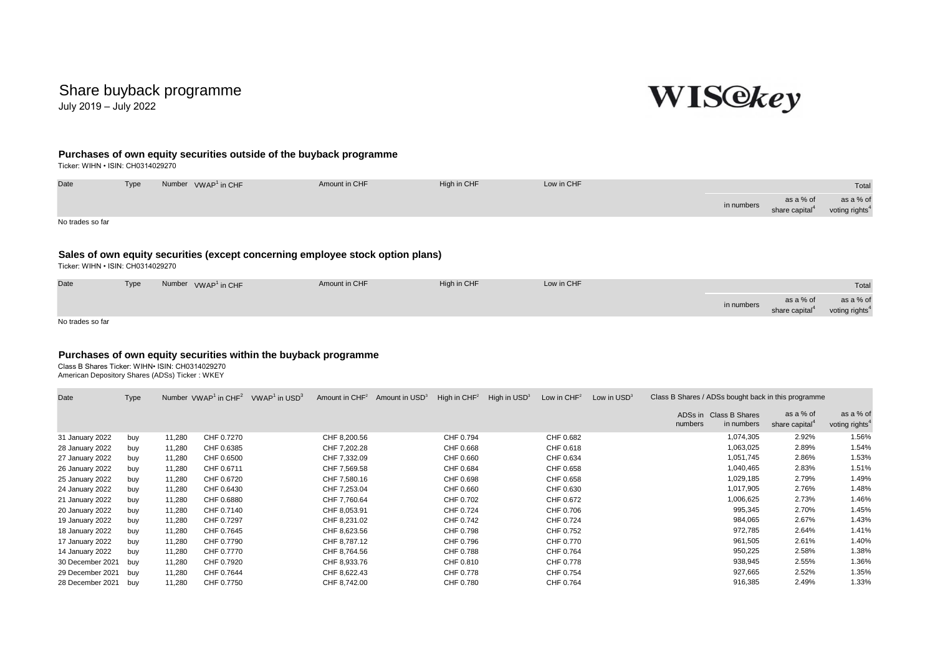## Share buyback programme

July 2019 – July 2022



## **Purchases of own equity securities outside of the buyback programme**

Ticker: WIHN • ISIN: CH0314029270

| Date                              | Type                                                                           |  | Number VWAP <sup>1</sup> in CHF | Amount in CHF | High in CHF | Low in CHF |            |                                         |                                         |  |  |  |
|-----------------------------------|--------------------------------------------------------------------------------|--|---------------------------------|---------------|-------------|------------|------------|-----------------------------------------|-----------------------------------------|--|--|--|
|                                   |                                                                                |  |                                 |               |             |            | in numbers | as a % of<br>share capital <sup>4</sup> | as a % of<br>voting rights <sup>4</sup> |  |  |  |
| No trades so far                  |                                                                                |  |                                 |               |             |            |            |                                         |                                         |  |  |  |
|                                   | Sales of own equity securities (except concerning employee stock option plans) |  |                                 |               |             |            |            |                                         |                                         |  |  |  |
| Ticker: WIHN . ISIN: CH0314029270 |                                                                                |  |                                 |               |             |            |            |                                         |                                         |  |  |  |

| Date             | Type | Number VWAP <sup>1</sup> in CHF | Amount in CHF | High in CHF | Low in CHF |            |                                         |                                         |  |
|------------------|------|---------------------------------|---------------|-------------|------------|------------|-----------------------------------------|-----------------------------------------|--|
|                  |      |                                 |               |             |            | in numbers | as a % of<br>share capital <sup>4</sup> | as a % of<br>voting rights <sup>4</sup> |  |
| No trades so far |      |                                 |               |             |            |            |                                         |                                         |  |

## **Purchases of own equity securities within the buyback programme**

Class B Shares Ticker: WIHN• ISIN: CH0314029270 American Depository Shares (ADSs) Ticker : WKEY

| Date             | <b>Type</b> |        | Number $VWAP1$ in $CHF2$ | $VWAP1$ in USD <sup>3</sup> | Amount in CHF <sup>2</sup> | Amount in USD <sup>3</sup> | High in $CHF2$ | High in USD <sup>3</sup> | Low in $CHF2$ | Low in USD <sup>3</sup> | Class B Shares / ADSs bought back in this programme |                                      |                                         |                                         |
|------------------|-------------|--------|--------------------------|-----------------------------|----------------------------|----------------------------|----------------|--------------------------|---------------|-------------------------|-----------------------------------------------------|--------------------------------------|-----------------------------------------|-----------------------------------------|
|                  |             |        |                          |                             |                            |                            |                |                          |               |                         | numbers                                             | ADSs in Class B Shares<br>in numbers | as a % of<br>share capital <sup>4</sup> | as a % of<br>voting rights <sup>4</sup> |
| 31 January 2022  | buy         | 11,280 | CHF 0.7270               |                             | CHF 8,200.56               |                            | CHF 0.794      |                          | CHF 0.682     |                         |                                                     | 1,074,305                            | 2.92%                                   | 1.56%                                   |
| 28 January 2022  | buy         | 11,280 | CHF 0.6385               |                             | CHF 7,202.28               |                            | CHF 0.668      |                          | CHF 0.618     |                         |                                                     | 1,063,025                            | 2.89%                                   | 1.54%                                   |
| 27 January 2022  | buy         | 11,280 | CHF 0.6500               |                             | CHF 7,332.09               |                            | CHF 0.660      |                          | CHF 0.634     |                         |                                                     | 1,051,745                            | 2.86%                                   | 1.53%                                   |
| 26 January 2022  | buy         | 11,280 | CHF 0.6711               |                             | CHF 7,569.58               |                            | CHF 0.684      |                          | CHF 0.658     |                         |                                                     | 1,040,465                            | 2.83%                                   | 1.51%                                   |
| 25 January 2022  | buy         | 11,280 | CHF 0.6720               |                             | CHF 7,580.16               |                            | CHF 0.698      |                          | CHF 0.658     |                         |                                                     | 1,029,185                            | 2.79%                                   | 1.49%                                   |
| 24 January 2022  | buy         | 11,280 | CHF 0.6430               |                             | CHF 7,253.04               |                            | CHF 0.660      |                          | CHF 0.630     |                         |                                                     | 1,017,905                            | 2.76%                                   | 1.48%                                   |
| 21 January 2022  | buy         | 11,280 | CHF 0.6880               |                             | CHF 7,760.64               |                            | CHF 0.702      |                          | CHF 0.672     |                         |                                                     | 1,006,625                            | 2.73%                                   | 1.46%                                   |
| 20 January 2022  | buy         | 11,280 | CHF 0.7140               |                             | CHF 8,053.91               |                            | CHF 0.724      |                          | CHF 0.706     |                         |                                                     | 995,345                              | 2.70%                                   | 1.45%                                   |
| 19 January 2022  | buy         | 11,280 | CHF 0.7297               |                             | CHF 8,231.02               |                            | CHF 0.742      |                          | CHF 0.724     |                         |                                                     | 984,065                              | 2.67%                                   | 1.43%                                   |
| 18 January 2022  | buy         | 11,280 | CHF 0.7645               |                             | CHF 8,623.56               |                            | CHF 0.798      |                          | CHF 0.752     |                         |                                                     | 972,785                              | 2.64%                                   | 1.41%                                   |
| 17 January 2022  | buy         | 11,280 | CHF 0.7790               |                             | CHF 8,787.12               |                            | CHF 0.796      |                          | CHF 0.770     |                         |                                                     | 961,505                              | 2.61%                                   | 1.40%                                   |
| 14 January 2022  | buy         | 11,280 | CHF 0.7770               |                             | CHF 8,764.56               |                            | CHF 0.788      |                          | CHF 0.764     |                         |                                                     | 950,225                              | 2.58%                                   | 1.38%                                   |
| 30 December 2021 | buy         | 11,280 | CHF 0.7920               |                             | CHF 8,933.76               |                            | CHF 0.810      |                          | CHF 0.778     |                         |                                                     | 938,945                              | 2.55%                                   | 1.36%                                   |
| 29 December 2021 | buy         | 11,280 | CHF 0.7644               |                             | CHF 8,622.43               |                            | CHF 0.778      |                          | CHF 0.754     |                         |                                                     | 927,665                              | 2.52%                                   | 1.35%                                   |
| 28 December 2021 | buy         | 11,280 | CHF 0.7750               |                             | CHF 8,742.00               |                            | CHF 0.780      |                          | CHF 0.764     |                         |                                                     | 916,385                              | 2.49%                                   | 1.33%                                   |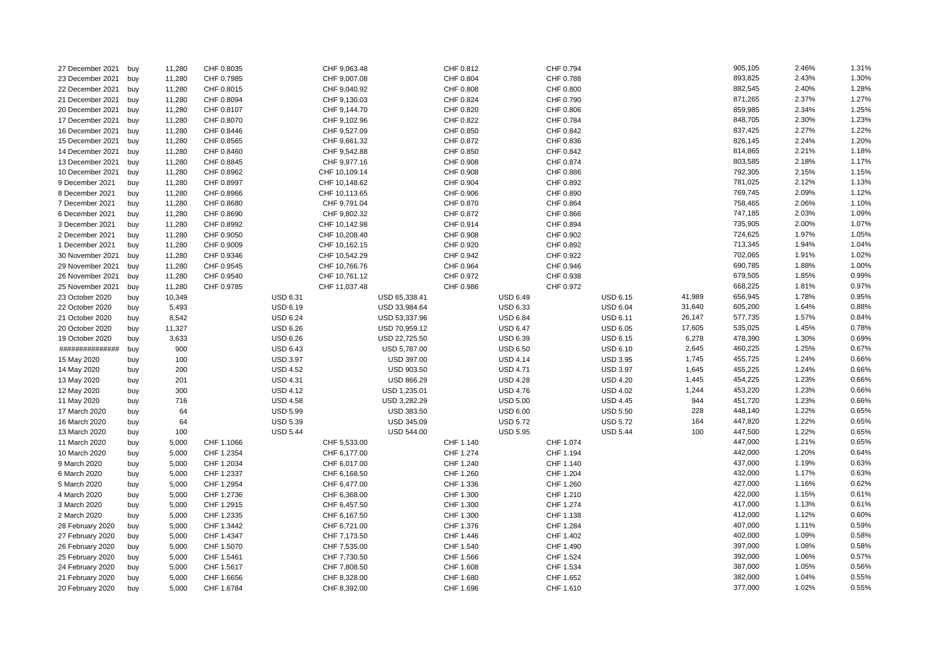| 893,825<br>2.43%<br>1.30%<br>CHF 9,007.08<br>CHF 0.804<br>CHF 0.788<br>23 December 2021<br>buy<br>11,280<br>CHF 0.7985<br>882,545<br>1.28%<br>CHF 0.808<br>CHF 0.800<br>2.40%<br>22 December 2021<br>11,280<br>CHF 0.8015<br>CHF 9,040.92<br>buy<br>871,265<br>1.27%<br>2.37%<br>11,280<br>CHF 0.8094<br>CHF 9,130.03<br>CHF 0.824<br>CHF 0.790<br>21 December 2021<br>buy<br>859,985<br>1.25%<br>11,280<br>CHF 0.8107<br>CHF 9,144.70<br>CHF 0.820<br>CHF 0.806<br>2.34%<br>20 December 2021<br>buy<br>11,280<br>CHF 0.784<br>848,705<br>2.30%<br>1.23%<br>17 December 2021<br>CHF 0.8070<br>CHF 9,102.96<br>CHF 0.822<br>buy<br>1.22%<br>11,280<br>CHF 0.8446<br>CHF 9,527.09<br>CHF 0.850<br>CHF 0.842<br>837,425<br>2.27%<br>16 December 2021<br>buy<br>826,145<br>2.24%<br>1.20%<br>15 December 2021<br>11,280<br>CHF 0.8565<br>CHF 9,661.32<br>CHF 0.872<br>CHF 0.836<br>buy<br>2.21%<br>1.18%<br>814,865<br>11,280<br>CHF 9,542.88<br>CHF 0.850<br>CHF 0.842<br>14 December 2021<br>CHF 0.8460<br>buy<br>803,585<br>2.18%<br>1.17%<br>11,280<br>13 December 2021<br>CHF 0.8845<br>CHF 9,977.16<br>CHF 0.908<br>CHF 0.874<br>buy<br>792,305<br>1.15%<br>2.15%<br>11,280<br>CHF 10,109.14<br>CHF 0.908<br>CHF 0.886<br>10 December 2021<br>CHF 0.8962<br>buy<br>781,025<br>2.12%<br>1.13%<br>11,280<br>CHF 0.8997<br>CHF 10,148.62<br>CHF 0.904<br>CHF 0.892<br>9 December 2021<br>buy<br>769,745<br>1.12%<br>2.09%<br>11,280<br>CHF 0.8966<br>CHF 10,113.65<br>CHF 0.906<br>CHF 0.890<br>8 December 2021<br>buy<br>758,465<br>2.06%<br>1.10%<br>11,280<br>CHF 9,791.04<br>7 December 2021<br>CHF 0.8680<br>CHF 0.870<br>CHF 0.864<br>buy<br>747,185<br>1.09%<br>2.03%<br>11,280<br>CHF 9,802.32<br>CHF 0.872<br>CHF 0.866<br>6 December 2021<br>buy<br>CHF 0.8690<br>1.07%<br>735,905<br>2.00%<br>3 December 2021<br>11,280<br>CHF 0.8992<br>CHF 10,142.98<br>CHF 0.914<br>CHF 0.894<br>buy<br>724,625<br>1.97%<br>1.05%<br>11,280<br>CHF 0.9050<br>CHF 10,208.40<br>CHF 0.908<br>CHF 0.902<br>2 December 2021<br>buy<br>713,345<br>1.04%<br>1.94%<br>CHF 0.920<br>CHF 0.892<br>1 December 2021<br>buy<br>11,280<br>CHF 0.9009<br>CHF 10,162.15<br>702,065<br>1.91%<br>1.02%<br>11,280<br>CHF 0.9346<br>CHF 10,542.29<br>CHF 0.942<br>CHF 0.922<br>30 November 2021<br>buy<br>690,785<br>1.00%<br>11,280<br>CHF 0.9545<br>CHF 10,766.76<br>CHF 0.964<br>CHF 0.946<br>1.88%<br>29 November 2021<br>buy<br>0.99%<br>679,505<br>26 November 2021<br>11,280<br>CHF 0.9540<br>CHF 10,761.12<br>CHF 0.972<br>CHF 0.938<br>1.85%<br>buy<br>668,225<br>0.97%<br>11,280<br>CHF 0.9785<br>CHF 11,037.48<br>CHF 0.986<br>CHF 0.972<br>1.81%<br>25 November 2021<br>buy<br>656,945<br><b>USD 6.31</b><br><b>USD 6.49</b><br>41,989<br>1.78%<br>0.95%<br>23 October 2020<br>10,349<br>USD 65,338.41<br><b>USD 6.15</b><br>buy<br>605,200<br>0.88%<br>5,493<br><b>USD 6.19</b><br>USD 33,984.64<br><b>USD 6.33</b><br><b>USD 6.04</b><br>31,640<br>1.64%<br>22 October 2020<br>buy<br>577,735<br><b>USD 6.24</b><br><b>USD 6.84</b><br>USD 6.11<br>26,147<br>1.57%<br>0.84%<br>21 October 2020<br>8,542<br>USD 53,337.96<br>buy<br>535,025<br>0.78%<br>11,327<br><b>USD 6.26</b><br>USD 70,959.12<br><b>USD 6.47</b><br><b>USD 6.05</b><br>17,605<br>1.45%<br>20 October 2020<br>buy<br><b>USD 6.26</b><br><b>USD 6.39</b><br><b>USD 6.15</b><br>6,278<br>478,390<br>1.30%<br>0.69%<br>19 October 2020<br>buy<br>3,633<br>USD 22,725.50<br>460,225<br>0.67%<br>##############<br>900<br><b>USD 6.43</b><br>USD 5,787.00<br><b>USD 6.50</b><br><b>USD 6.10</b><br>2,645<br>1.25%<br>buy<br><b>USD 3.97</b><br>USD 397.00<br>1,745<br>455,725<br>1.24%<br>0.66%<br>15 May 2020<br>100<br><b>USD 4.14</b><br><b>USD 3.95</b><br>buy<br>455,225<br>1.24%<br>0.66%<br>200<br><b>USD 4.52</b><br>USD 903.50<br><b>USD 4.71</b><br><b>USD 3.97</b><br>1,645<br>14 May 2020<br>buy<br>454,225<br>0.66%<br>201<br><b>USD 4.31</b><br>USD 866.29<br><b>USD 4.28</b><br><b>USD 4.20</b><br>1,445<br>1.23%<br>13 May 2020<br>buy<br>453,220<br>0.66%<br>300<br><b>USD 4.12</b><br><b>USD 4.02</b><br>1,244<br>1.23%<br>USD 1,235.01<br><b>USD 4.76</b><br>12 May 2020<br>buy<br>944<br>0.66%<br>716<br><b>USD 4.58</b><br>USD 3,282.29<br><b>USD 5.00</b><br><b>USD 4.45</b><br>451,720<br>1.23%<br>11 May 2020<br>buy<br>64<br><b>USD 5.99</b><br>USD 383.50<br><b>USD 6.00</b><br><b>USD 5.50</b><br>228<br>448,140<br>1.22%<br>0.65%<br>17 March 2020<br>buy<br>447,820<br>0.65%<br>16 March 2020<br>64<br><b>USD 5.39</b><br>USD 345.09<br><b>USD 5.72</b><br><b>USD 5.72</b><br>164<br>1.22%<br>buy<br>447,500<br>0.65%<br><b>USD 5.44</b><br><b>USD 5.44</b><br>100<br>1.22%<br>13 March 2020<br>100<br>USD 544.00<br><b>USD 5.95</b><br>buy<br>CHF 1.074<br>447,000<br>1.21%<br>0.65%<br>CHF 5,533.00<br>CHF 1.140<br>11 March 2020<br>5,000<br>CHF 1.1066<br>buy<br>442,000<br>CHF 1.2354<br>CHF 6,177.00<br>CHF 1.274<br>CHF 1.194<br>1.20%<br>0.64%<br>10 March 2020<br>5,000<br>buy<br>437,000<br>1.19%<br>0.63%<br>9 March 2020<br>5,000<br>CHF 1.2034<br>CHF 6,017.00<br>CHF 1.240<br>CHF 1.140<br>buy<br>432,000<br>0.63%<br>CHF 1.2337<br>CHF 1.260<br>CHF 1.204<br>1.17%<br>6 March 2020<br>5,000<br>CHF 6,168.50<br>buy<br>427,000<br>0.62%<br>5 March 2020<br>5,000<br>CHF 1.2954<br>CHF 6,477.00<br>CHF 1.336<br>CHF 1.260<br>1.16%<br>buy<br>CHF 6,368.00<br>CHF 1.300<br>CHF 1.210<br>422,000<br>1.15%<br>0.61%<br>4 March 2020<br>5,000<br>CHF 1.2736<br>buy<br>417,000<br>0.61%<br>3 March 2020<br>5,000<br>CHF 1.2915<br>CHF 6,457.50<br>CHF 1.300<br>CHF 1.274<br>1.13%<br>buy<br>CHF 1.300<br>CHF 1.138<br>412,000<br>1.12%<br>0.60%<br>2 March 2020<br>5,000<br>CHF 1.2335<br>CHF 6,167.50<br>buy<br>407,000<br>0.59%<br>1.11%<br>CHF 1.3442<br>CHF 6,721.00<br>CHF 1.376<br>CHF 1.284<br>28 February 2020<br>buy<br>5,000<br>402,000<br>0.58%<br>1.09%<br>CHF 1.4347<br>CHF 7,173.50<br>CHF 1.446<br>CHF 1.402<br>27 February 2020<br>5,000<br>buy<br>397,000<br>1.08%<br>0.58%<br>CHF 1.540<br>CHF 1.490<br>26 February 2020<br>5,000<br>CHF 1.5070<br>CHF 7,535.00<br>buy<br>0.57%<br>392,000<br>1.06%<br>CHF 1.5461<br>CHF 7,730.50<br>CHF 1.566<br>CHF 1.524<br>25 February 2020<br>5,000<br>buy<br>387,000<br>1.05%<br>0.56%<br>CHF 1.534<br>24 February 2020<br>5,000<br>CHF 1.5617<br>CHF 7,808.50<br>CHF 1.608<br>buy<br>382,000<br>0.55%<br>1.04%<br>21 February 2020<br>5,000<br>CHF 1.6656<br>CHF 8,328.00<br>CHF 1.680<br>CHF 1.652<br>buy<br>377,000<br>1.02%<br>0.55%<br>CHF 8,392.00<br>CHF 1.696<br>CHF 1.610<br>20 February 2020<br>buy<br>5,000<br>CHF 1.6784 | 27 December 2021 | buy | 11,280 | CHF 0.8035 | CHF 9,063.48 | CHF 0.812 | CHF 0.794 |  | 905,105 | 2.46% | 1.31% |
|-----------------------------------------------------------------------------------------------------------------------------------------------------------------------------------------------------------------------------------------------------------------------------------------------------------------------------------------------------------------------------------------------------------------------------------------------------------------------------------------------------------------------------------------------------------------------------------------------------------------------------------------------------------------------------------------------------------------------------------------------------------------------------------------------------------------------------------------------------------------------------------------------------------------------------------------------------------------------------------------------------------------------------------------------------------------------------------------------------------------------------------------------------------------------------------------------------------------------------------------------------------------------------------------------------------------------------------------------------------------------------------------------------------------------------------------------------------------------------------------------------------------------------------------------------------------------------------------------------------------------------------------------------------------------------------------------------------------------------------------------------------------------------------------------------------------------------------------------------------------------------------------------------------------------------------------------------------------------------------------------------------------------------------------------------------------------------------------------------------------------------------------------------------------------------------------------------------------------------------------------------------------------------------------------------------------------------------------------------------------------------------------------------------------------------------------------------------------------------------------------------------------------------------------------------------------------------------------------------------------------------------------------------------------------------------------------------------------------------------------------------------------------------------------------------------------------------------------------------------------------------------------------------------------------------------------------------------------------------------------------------------------------------------------------------------------------------------------------------------------------------------------------------------------------------------------------------------------------------------------------------------------------------------------------------------------------------------------------------------------------------------------------------------------------------------------------------------------------------------------------------------------------------------------------------------------------------------------------------------------------------------------------------------------------------------------------------------------------------------------------------------------------------------------------------------------------------------------------------------------------------------------------------------------------------------------------------------------------------------------------------------------------------------------------------------------------------------------------------------------------------------------------------------------------------------------------------------------------------------------------------------------------------------------------------------------------------------------------------------------------------------------------------------------------------------------------------------------------------------------------------------------------------------------------------------------------------------------------------------------------------------------------------------------------------------------------------------------------------------------------------------------------------------------------------------------------------------------------------------------------------------------------------------------------------------------------------------------------------------------------------------------------------------------------------------------------------------------------------------------------------------------------------------------------------------------------------------------------------------------------------------------------------------------------------------------------------------------------------------------------------------------------------------------------------------------------------------------------------------------------------------------------------------------------------------------------------------------------------------------------------------------------------------------------------------------------------------------------------------------------------------------------------------------------------------------------------------------------------------------------------------------------------------------------------------------------------------------------------------------------------------------------------------------------------------------------------------------------------------------------------------------------------------------------------------------------------------------------------------------------------------------------------------------------------------------------------------------------------------------------------------------------------------------------------------------------------------------------------------------------------------------------------------------------------------------------------------------|------------------|-----|--------|------------|--------------|-----------|-----------|--|---------|-------|-------|
|                                                                                                                                                                                                                                                                                                                                                                                                                                                                                                                                                                                                                                                                                                                                                                                                                                                                                                                                                                                                                                                                                                                                                                                                                                                                                                                                                                                                                                                                                                                                                                                                                                                                                                                                                                                                                                                                                                                                                                                                                                                                                                                                                                                                                                                                                                                                                                                                                                                                                                                                                                                                                                                                                                                                                                                                                                                                                                                                                                                                                                                                                                                                                                                                                                                                                                                                                                                                                                                                                                                                                                                                                                                                                                                                                                                                                                                                                                                                                                                                                                                                                                                                                                                                                                                                                                                                                                                                                                                                                                                                                                                                                                                                                                                                                                                                                                                                                                                                                                                                                                                                                                                                                                                                                                                                                                                                                                                                                                                                                                                                                                                                                                                                                                                                                                                                                                                                                                                                                                                                                                                                                                                                                                                                                                                                                                                                                                                                                                                                                                                                                                                         |                  |     |        |            |              |           |           |  |         |       |       |
|                                                                                                                                                                                                                                                                                                                                                                                                                                                                                                                                                                                                                                                                                                                                                                                                                                                                                                                                                                                                                                                                                                                                                                                                                                                                                                                                                                                                                                                                                                                                                                                                                                                                                                                                                                                                                                                                                                                                                                                                                                                                                                                                                                                                                                                                                                                                                                                                                                                                                                                                                                                                                                                                                                                                                                                                                                                                                                                                                                                                                                                                                                                                                                                                                                                                                                                                                                                                                                                                                                                                                                                                                                                                                                                                                                                                                                                                                                                                                                                                                                                                                                                                                                                                                                                                                                                                                                                                                                                                                                                                                                                                                                                                                                                                                                                                                                                                                                                                                                                                                                                                                                                                                                                                                                                                                                                                                                                                                                                                                                                                                                                                                                                                                                                                                                                                                                                                                                                                                                                                                                                                                                                                                                                                                                                                                                                                                                                                                                                                                                                                                                                         |                  |     |        |            |              |           |           |  |         |       |       |
|                                                                                                                                                                                                                                                                                                                                                                                                                                                                                                                                                                                                                                                                                                                                                                                                                                                                                                                                                                                                                                                                                                                                                                                                                                                                                                                                                                                                                                                                                                                                                                                                                                                                                                                                                                                                                                                                                                                                                                                                                                                                                                                                                                                                                                                                                                                                                                                                                                                                                                                                                                                                                                                                                                                                                                                                                                                                                                                                                                                                                                                                                                                                                                                                                                                                                                                                                                                                                                                                                                                                                                                                                                                                                                                                                                                                                                                                                                                                                                                                                                                                                                                                                                                                                                                                                                                                                                                                                                                                                                                                                                                                                                                                                                                                                                                                                                                                                                                                                                                                                                                                                                                                                                                                                                                                                                                                                                                                                                                                                                                                                                                                                                                                                                                                                                                                                                                                                                                                                                                                                                                                                                                                                                                                                                                                                                                                                                                                                                                                                                                                                                                         |                  |     |        |            |              |           |           |  |         |       |       |
|                                                                                                                                                                                                                                                                                                                                                                                                                                                                                                                                                                                                                                                                                                                                                                                                                                                                                                                                                                                                                                                                                                                                                                                                                                                                                                                                                                                                                                                                                                                                                                                                                                                                                                                                                                                                                                                                                                                                                                                                                                                                                                                                                                                                                                                                                                                                                                                                                                                                                                                                                                                                                                                                                                                                                                                                                                                                                                                                                                                                                                                                                                                                                                                                                                                                                                                                                                                                                                                                                                                                                                                                                                                                                                                                                                                                                                                                                                                                                                                                                                                                                                                                                                                                                                                                                                                                                                                                                                                                                                                                                                                                                                                                                                                                                                                                                                                                                                                                                                                                                                                                                                                                                                                                                                                                                                                                                                                                                                                                                                                                                                                                                                                                                                                                                                                                                                                                                                                                                                                                                                                                                                                                                                                                                                                                                                                                                                                                                                                                                                                                                                                         |                  |     |        |            |              |           |           |  |         |       |       |
|                                                                                                                                                                                                                                                                                                                                                                                                                                                                                                                                                                                                                                                                                                                                                                                                                                                                                                                                                                                                                                                                                                                                                                                                                                                                                                                                                                                                                                                                                                                                                                                                                                                                                                                                                                                                                                                                                                                                                                                                                                                                                                                                                                                                                                                                                                                                                                                                                                                                                                                                                                                                                                                                                                                                                                                                                                                                                                                                                                                                                                                                                                                                                                                                                                                                                                                                                                                                                                                                                                                                                                                                                                                                                                                                                                                                                                                                                                                                                                                                                                                                                                                                                                                                                                                                                                                                                                                                                                                                                                                                                                                                                                                                                                                                                                                                                                                                                                                                                                                                                                                                                                                                                                                                                                                                                                                                                                                                                                                                                                                                                                                                                                                                                                                                                                                                                                                                                                                                                                                                                                                                                                                                                                                                                                                                                                                                                                                                                                                                                                                                                                                         |                  |     |        |            |              |           |           |  |         |       |       |
|                                                                                                                                                                                                                                                                                                                                                                                                                                                                                                                                                                                                                                                                                                                                                                                                                                                                                                                                                                                                                                                                                                                                                                                                                                                                                                                                                                                                                                                                                                                                                                                                                                                                                                                                                                                                                                                                                                                                                                                                                                                                                                                                                                                                                                                                                                                                                                                                                                                                                                                                                                                                                                                                                                                                                                                                                                                                                                                                                                                                                                                                                                                                                                                                                                                                                                                                                                                                                                                                                                                                                                                                                                                                                                                                                                                                                                                                                                                                                                                                                                                                                                                                                                                                                                                                                                                                                                                                                                                                                                                                                                                                                                                                                                                                                                                                                                                                                                                                                                                                                                                                                                                                                                                                                                                                                                                                                                                                                                                                                                                                                                                                                                                                                                                                                                                                                                                                                                                                                                                                                                                                                                                                                                                                                                                                                                                                                                                                                                                                                                                                                                                         |                  |     |        |            |              |           |           |  |         |       |       |
|                                                                                                                                                                                                                                                                                                                                                                                                                                                                                                                                                                                                                                                                                                                                                                                                                                                                                                                                                                                                                                                                                                                                                                                                                                                                                                                                                                                                                                                                                                                                                                                                                                                                                                                                                                                                                                                                                                                                                                                                                                                                                                                                                                                                                                                                                                                                                                                                                                                                                                                                                                                                                                                                                                                                                                                                                                                                                                                                                                                                                                                                                                                                                                                                                                                                                                                                                                                                                                                                                                                                                                                                                                                                                                                                                                                                                                                                                                                                                                                                                                                                                                                                                                                                                                                                                                                                                                                                                                                                                                                                                                                                                                                                                                                                                                                                                                                                                                                                                                                                                                                                                                                                                                                                                                                                                                                                                                                                                                                                                                                                                                                                                                                                                                                                                                                                                                                                                                                                                                                                                                                                                                                                                                                                                                                                                                                                                                                                                                                                                                                                                                                         |                  |     |        |            |              |           |           |  |         |       |       |
|                                                                                                                                                                                                                                                                                                                                                                                                                                                                                                                                                                                                                                                                                                                                                                                                                                                                                                                                                                                                                                                                                                                                                                                                                                                                                                                                                                                                                                                                                                                                                                                                                                                                                                                                                                                                                                                                                                                                                                                                                                                                                                                                                                                                                                                                                                                                                                                                                                                                                                                                                                                                                                                                                                                                                                                                                                                                                                                                                                                                                                                                                                                                                                                                                                                                                                                                                                                                                                                                                                                                                                                                                                                                                                                                                                                                                                                                                                                                                                                                                                                                                                                                                                                                                                                                                                                                                                                                                                                                                                                                                                                                                                                                                                                                                                                                                                                                                                                                                                                                                                                                                                                                                                                                                                                                                                                                                                                                                                                                                                                                                                                                                                                                                                                                                                                                                                                                                                                                                                                                                                                                                                                                                                                                                                                                                                                                                                                                                                                                                                                                                                                         |                  |     |        |            |              |           |           |  |         |       |       |
|                                                                                                                                                                                                                                                                                                                                                                                                                                                                                                                                                                                                                                                                                                                                                                                                                                                                                                                                                                                                                                                                                                                                                                                                                                                                                                                                                                                                                                                                                                                                                                                                                                                                                                                                                                                                                                                                                                                                                                                                                                                                                                                                                                                                                                                                                                                                                                                                                                                                                                                                                                                                                                                                                                                                                                                                                                                                                                                                                                                                                                                                                                                                                                                                                                                                                                                                                                                                                                                                                                                                                                                                                                                                                                                                                                                                                                                                                                                                                                                                                                                                                                                                                                                                                                                                                                                                                                                                                                                                                                                                                                                                                                                                                                                                                                                                                                                                                                                                                                                                                                                                                                                                                                                                                                                                                                                                                                                                                                                                                                                                                                                                                                                                                                                                                                                                                                                                                                                                                                                                                                                                                                                                                                                                                                                                                                                                                                                                                                                                                                                                                                                         |                  |     |        |            |              |           |           |  |         |       |       |
|                                                                                                                                                                                                                                                                                                                                                                                                                                                                                                                                                                                                                                                                                                                                                                                                                                                                                                                                                                                                                                                                                                                                                                                                                                                                                                                                                                                                                                                                                                                                                                                                                                                                                                                                                                                                                                                                                                                                                                                                                                                                                                                                                                                                                                                                                                                                                                                                                                                                                                                                                                                                                                                                                                                                                                                                                                                                                                                                                                                                                                                                                                                                                                                                                                                                                                                                                                                                                                                                                                                                                                                                                                                                                                                                                                                                                                                                                                                                                                                                                                                                                                                                                                                                                                                                                                                                                                                                                                                                                                                                                                                                                                                                                                                                                                                                                                                                                                                                                                                                                                                                                                                                                                                                                                                                                                                                                                                                                                                                                                                                                                                                                                                                                                                                                                                                                                                                                                                                                                                                                                                                                                                                                                                                                                                                                                                                                                                                                                                                                                                                                                                         |                  |     |        |            |              |           |           |  |         |       |       |
|                                                                                                                                                                                                                                                                                                                                                                                                                                                                                                                                                                                                                                                                                                                                                                                                                                                                                                                                                                                                                                                                                                                                                                                                                                                                                                                                                                                                                                                                                                                                                                                                                                                                                                                                                                                                                                                                                                                                                                                                                                                                                                                                                                                                                                                                                                                                                                                                                                                                                                                                                                                                                                                                                                                                                                                                                                                                                                                                                                                                                                                                                                                                                                                                                                                                                                                                                                                                                                                                                                                                                                                                                                                                                                                                                                                                                                                                                                                                                                                                                                                                                                                                                                                                                                                                                                                                                                                                                                                                                                                                                                                                                                                                                                                                                                                                                                                                                                                                                                                                                                                                                                                                                                                                                                                                                                                                                                                                                                                                                                                                                                                                                                                                                                                                                                                                                                                                                                                                                                                                                                                                                                                                                                                                                                                                                                                                                                                                                                                                                                                                                                                         |                  |     |        |            |              |           |           |  |         |       |       |
|                                                                                                                                                                                                                                                                                                                                                                                                                                                                                                                                                                                                                                                                                                                                                                                                                                                                                                                                                                                                                                                                                                                                                                                                                                                                                                                                                                                                                                                                                                                                                                                                                                                                                                                                                                                                                                                                                                                                                                                                                                                                                                                                                                                                                                                                                                                                                                                                                                                                                                                                                                                                                                                                                                                                                                                                                                                                                                                                                                                                                                                                                                                                                                                                                                                                                                                                                                                                                                                                                                                                                                                                                                                                                                                                                                                                                                                                                                                                                                                                                                                                                                                                                                                                                                                                                                                                                                                                                                                                                                                                                                                                                                                                                                                                                                                                                                                                                                                                                                                                                                                                                                                                                                                                                                                                                                                                                                                                                                                                                                                                                                                                                                                                                                                                                                                                                                                                                                                                                                                                                                                                                                                                                                                                                                                                                                                                                                                                                                                                                                                                                                                         |                  |     |        |            |              |           |           |  |         |       |       |
|                                                                                                                                                                                                                                                                                                                                                                                                                                                                                                                                                                                                                                                                                                                                                                                                                                                                                                                                                                                                                                                                                                                                                                                                                                                                                                                                                                                                                                                                                                                                                                                                                                                                                                                                                                                                                                                                                                                                                                                                                                                                                                                                                                                                                                                                                                                                                                                                                                                                                                                                                                                                                                                                                                                                                                                                                                                                                                                                                                                                                                                                                                                                                                                                                                                                                                                                                                                                                                                                                                                                                                                                                                                                                                                                                                                                                                                                                                                                                                                                                                                                                                                                                                                                                                                                                                                                                                                                                                                                                                                                                                                                                                                                                                                                                                                                                                                                                                                                                                                                                                                                                                                                                                                                                                                                                                                                                                                                                                                                                                                                                                                                                                                                                                                                                                                                                                                                                                                                                                                                                                                                                                                                                                                                                                                                                                                                                                                                                                                                                                                                                                                         |                  |     |        |            |              |           |           |  |         |       |       |
|                                                                                                                                                                                                                                                                                                                                                                                                                                                                                                                                                                                                                                                                                                                                                                                                                                                                                                                                                                                                                                                                                                                                                                                                                                                                                                                                                                                                                                                                                                                                                                                                                                                                                                                                                                                                                                                                                                                                                                                                                                                                                                                                                                                                                                                                                                                                                                                                                                                                                                                                                                                                                                                                                                                                                                                                                                                                                                                                                                                                                                                                                                                                                                                                                                                                                                                                                                                                                                                                                                                                                                                                                                                                                                                                                                                                                                                                                                                                                                                                                                                                                                                                                                                                                                                                                                                                                                                                                                                                                                                                                                                                                                                                                                                                                                                                                                                                                                                                                                                                                                                                                                                                                                                                                                                                                                                                                                                                                                                                                                                                                                                                                                                                                                                                                                                                                                                                                                                                                                                                                                                                                                                                                                                                                                                                                                                                                                                                                                                                                                                                                                                         |                  |     |        |            |              |           |           |  |         |       |       |
|                                                                                                                                                                                                                                                                                                                                                                                                                                                                                                                                                                                                                                                                                                                                                                                                                                                                                                                                                                                                                                                                                                                                                                                                                                                                                                                                                                                                                                                                                                                                                                                                                                                                                                                                                                                                                                                                                                                                                                                                                                                                                                                                                                                                                                                                                                                                                                                                                                                                                                                                                                                                                                                                                                                                                                                                                                                                                                                                                                                                                                                                                                                                                                                                                                                                                                                                                                                                                                                                                                                                                                                                                                                                                                                                                                                                                                                                                                                                                                                                                                                                                                                                                                                                                                                                                                                                                                                                                                                                                                                                                                                                                                                                                                                                                                                                                                                                                                                                                                                                                                                                                                                                                                                                                                                                                                                                                                                                                                                                                                                                                                                                                                                                                                                                                                                                                                                                                                                                                                                                                                                                                                                                                                                                                                                                                                                                                                                                                                                                                                                                                                                         |                  |     |        |            |              |           |           |  |         |       |       |
|                                                                                                                                                                                                                                                                                                                                                                                                                                                                                                                                                                                                                                                                                                                                                                                                                                                                                                                                                                                                                                                                                                                                                                                                                                                                                                                                                                                                                                                                                                                                                                                                                                                                                                                                                                                                                                                                                                                                                                                                                                                                                                                                                                                                                                                                                                                                                                                                                                                                                                                                                                                                                                                                                                                                                                                                                                                                                                                                                                                                                                                                                                                                                                                                                                                                                                                                                                                                                                                                                                                                                                                                                                                                                                                                                                                                                                                                                                                                                                                                                                                                                                                                                                                                                                                                                                                                                                                                                                                                                                                                                                                                                                                                                                                                                                                                                                                                                                                                                                                                                                                                                                                                                                                                                                                                                                                                                                                                                                                                                                                                                                                                                                                                                                                                                                                                                                                                                                                                                                                                                                                                                                                                                                                                                                                                                                                                                                                                                                                                                                                                                                                         |                  |     |        |            |              |           |           |  |         |       |       |
|                                                                                                                                                                                                                                                                                                                                                                                                                                                                                                                                                                                                                                                                                                                                                                                                                                                                                                                                                                                                                                                                                                                                                                                                                                                                                                                                                                                                                                                                                                                                                                                                                                                                                                                                                                                                                                                                                                                                                                                                                                                                                                                                                                                                                                                                                                                                                                                                                                                                                                                                                                                                                                                                                                                                                                                                                                                                                                                                                                                                                                                                                                                                                                                                                                                                                                                                                                                                                                                                                                                                                                                                                                                                                                                                                                                                                                                                                                                                                                                                                                                                                                                                                                                                                                                                                                                                                                                                                                                                                                                                                                                                                                                                                                                                                                                                                                                                                                                                                                                                                                                                                                                                                                                                                                                                                                                                                                                                                                                                                                                                                                                                                                                                                                                                                                                                                                                                                                                                                                                                                                                                                                                                                                                                                                                                                                                                                                                                                                                                                                                                                                                         |                  |     |        |            |              |           |           |  |         |       |       |
|                                                                                                                                                                                                                                                                                                                                                                                                                                                                                                                                                                                                                                                                                                                                                                                                                                                                                                                                                                                                                                                                                                                                                                                                                                                                                                                                                                                                                                                                                                                                                                                                                                                                                                                                                                                                                                                                                                                                                                                                                                                                                                                                                                                                                                                                                                                                                                                                                                                                                                                                                                                                                                                                                                                                                                                                                                                                                                                                                                                                                                                                                                                                                                                                                                                                                                                                                                                                                                                                                                                                                                                                                                                                                                                                                                                                                                                                                                                                                                                                                                                                                                                                                                                                                                                                                                                                                                                                                                                                                                                                                                                                                                                                                                                                                                                                                                                                                                                                                                                                                                                                                                                                                                                                                                                                                                                                                                                                                                                                                                                                                                                                                                                                                                                                                                                                                                                                                                                                                                                                                                                                                                                                                                                                                                                                                                                                                                                                                                                                                                                                                                                         |                  |     |        |            |              |           |           |  |         |       |       |
|                                                                                                                                                                                                                                                                                                                                                                                                                                                                                                                                                                                                                                                                                                                                                                                                                                                                                                                                                                                                                                                                                                                                                                                                                                                                                                                                                                                                                                                                                                                                                                                                                                                                                                                                                                                                                                                                                                                                                                                                                                                                                                                                                                                                                                                                                                                                                                                                                                                                                                                                                                                                                                                                                                                                                                                                                                                                                                                                                                                                                                                                                                                                                                                                                                                                                                                                                                                                                                                                                                                                                                                                                                                                                                                                                                                                                                                                                                                                                                                                                                                                                                                                                                                                                                                                                                                                                                                                                                                                                                                                                                                                                                                                                                                                                                                                                                                                                                                                                                                                                                                                                                                                                                                                                                                                                                                                                                                                                                                                                                                                                                                                                                                                                                                                                                                                                                                                                                                                                                                                                                                                                                                                                                                                                                                                                                                                                                                                                                                                                                                                                                                         |                  |     |        |            |              |           |           |  |         |       |       |
|                                                                                                                                                                                                                                                                                                                                                                                                                                                                                                                                                                                                                                                                                                                                                                                                                                                                                                                                                                                                                                                                                                                                                                                                                                                                                                                                                                                                                                                                                                                                                                                                                                                                                                                                                                                                                                                                                                                                                                                                                                                                                                                                                                                                                                                                                                                                                                                                                                                                                                                                                                                                                                                                                                                                                                                                                                                                                                                                                                                                                                                                                                                                                                                                                                                                                                                                                                                                                                                                                                                                                                                                                                                                                                                                                                                                                                                                                                                                                                                                                                                                                                                                                                                                                                                                                                                                                                                                                                                                                                                                                                                                                                                                                                                                                                                                                                                                                                                                                                                                                                                                                                                                                                                                                                                                                                                                                                                                                                                                                                                                                                                                                                                                                                                                                                                                                                                                                                                                                                                                                                                                                                                                                                                                                                                                                                                                                                                                                                                                                                                                                                                         |                  |     |        |            |              |           |           |  |         |       |       |
|                                                                                                                                                                                                                                                                                                                                                                                                                                                                                                                                                                                                                                                                                                                                                                                                                                                                                                                                                                                                                                                                                                                                                                                                                                                                                                                                                                                                                                                                                                                                                                                                                                                                                                                                                                                                                                                                                                                                                                                                                                                                                                                                                                                                                                                                                                                                                                                                                                                                                                                                                                                                                                                                                                                                                                                                                                                                                                                                                                                                                                                                                                                                                                                                                                                                                                                                                                                                                                                                                                                                                                                                                                                                                                                                                                                                                                                                                                                                                                                                                                                                                                                                                                                                                                                                                                                                                                                                                                                                                                                                                                                                                                                                                                                                                                                                                                                                                                                                                                                                                                                                                                                                                                                                                                                                                                                                                                                                                                                                                                                                                                                                                                                                                                                                                                                                                                                                                                                                                                                                                                                                                                                                                                                                                                                                                                                                                                                                                                                                                                                                                                                         |                  |     |        |            |              |           |           |  |         |       |       |
|                                                                                                                                                                                                                                                                                                                                                                                                                                                                                                                                                                                                                                                                                                                                                                                                                                                                                                                                                                                                                                                                                                                                                                                                                                                                                                                                                                                                                                                                                                                                                                                                                                                                                                                                                                                                                                                                                                                                                                                                                                                                                                                                                                                                                                                                                                                                                                                                                                                                                                                                                                                                                                                                                                                                                                                                                                                                                                                                                                                                                                                                                                                                                                                                                                                                                                                                                                                                                                                                                                                                                                                                                                                                                                                                                                                                                                                                                                                                                                                                                                                                                                                                                                                                                                                                                                                                                                                                                                                                                                                                                                                                                                                                                                                                                                                                                                                                                                                                                                                                                                                                                                                                                                                                                                                                                                                                                                                                                                                                                                                                                                                                                                                                                                                                                                                                                                                                                                                                                                                                                                                                                                                                                                                                                                                                                                                                                                                                                                                                                                                                                                                         |                  |     |        |            |              |           |           |  |         |       |       |
|                                                                                                                                                                                                                                                                                                                                                                                                                                                                                                                                                                                                                                                                                                                                                                                                                                                                                                                                                                                                                                                                                                                                                                                                                                                                                                                                                                                                                                                                                                                                                                                                                                                                                                                                                                                                                                                                                                                                                                                                                                                                                                                                                                                                                                                                                                                                                                                                                                                                                                                                                                                                                                                                                                                                                                                                                                                                                                                                                                                                                                                                                                                                                                                                                                                                                                                                                                                                                                                                                                                                                                                                                                                                                                                                                                                                                                                                                                                                                                                                                                                                                                                                                                                                                                                                                                                                                                                                                                                                                                                                                                                                                                                                                                                                                                                                                                                                                                                                                                                                                                                                                                                                                                                                                                                                                                                                                                                                                                                                                                                                                                                                                                                                                                                                                                                                                                                                                                                                                                                                                                                                                                                                                                                                                                                                                                                                                                                                                                                                                                                                                                                         |                  |     |        |            |              |           |           |  |         |       |       |
|                                                                                                                                                                                                                                                                                                                                                                                                                                                                                                                                                                                                                                                                                                                                                                                                                                                                                                                                                                                                                                                                                                                                                                                                                                                                                                                                                                                                                                                                                                                                                                                                                                                                                                                                                                                                                                                                                                                                                                                                                                                                                                                                                                                                                                                                                                                                                                                                                                                                                                                                                                                                                                                                                                                                                                                                                                                                                                                                                                                                                                                                                                                                                                                                                                                                                                                                                                                                                                                                                                                                                                                                                                                                                                                                                                                                                                                                                                                                                                                                                                                                                                                                                                                                                                                                                                                                                                                                                                                                                                                                                                                                                                                                                                                                                                                                                                                                                                                                                                                                                                                                                                                                                                                                                                                                                                                                                                                                                                                                                                                                                                                                                                                                                                                                                                                                                                                                                                                                                                                                                                                                                                                                                                                                                                                                                                                                                                                                                                                                                                                                                                                         |                  |     |        |            |              |           |           |  |         |       |       |
|                                                                                                                                                                                                                                                                                                                                                                                                                                                                                                                                                                                                                                                                                                                                                                                                                                                                                                                                                                                                                                                                                                                                                                                                                                                                                                                                                                                                                                                                                                                                                                                                                                                                                                                                                                                                                                                                                                                                                                                                                                                                                                                                                                                                                                                                                                                                                                                                                                                                                                                                                                                                                                                                                                                                                                                                                                                                                                                                                                                                                                                                                                                                                                                                                                                                                                                                                                                                                                                                                                                                                                                                                                                                                                                                                                                                                                                                                                                                                                                                                                                                                                                                                                                                                                                                                                                                                                                                                                                                                                                                                                                                                                                                                                                                                                                                                                                                                                                                                                                                                                                                                                                                                                                                                                                                                                                                                                                                                                                                                                                                                                                                                                                                                                                                                                                                                                                                                                                                                                                                                                                                                                                                                                                                                                                                                                                                                                                                                                                                                                                                                                                         |                  |     |        |            |              |           |           |  |         |       |       |
|                                                                                                                                                                                                                                                                                                                                                                                                                                                                                                                                                                                                                                                                                                                                                                                                                                                                                                                                                                                                                                                                                                                                                                                                                                                                                                                                                                                                                                                                                                                                                                                                                                                                                                                                                                                                                                                                                                                                                                                                                                                                                                                                                                                                                                                                                                                                                                                                                                                                                                                                                                                                                                                                                                                                                                                                                                                                                                                                                                                                                                                                                                                                                                                                                                                                                                                                                                                                                                                                                                                                                                                                                                                                                                                                                                                                                                                                                                                                                                                                                                                                                                                                                                                                                                                                                                                                                                                                                                                                                                                                                                                                                                                                                                                                                                                                                                                                                                                                                                                                                                                                                                                                                                                                                                                                                                                                                                                                                                                                                                                                                                                                                                                                                                                                                                                                                                                                                                                                                                                                                                                                                                                                                                                                                                                                                                                                                                                                                                                                                                                                                                                         |                  |     |        |            |              |           |           |  |         |       |       |
|                                                                                                                                                                                                                                                                                                                                                                                                                                                                                                                                                                                                                                                                                                                                                                                                                                                                                                                                                                                                                                                                                                                                                                                                                                                                                                                                                                                                                                                                                                                                                                                                                                                                                                                                                                                                                                                                                                                                                                                                                                                                                                                                                                                                                                                                                                                                                                                                                                                                                                                                                                                                                                                                                                                                                                                                                                                                                                                                                                                                                                                                                                                                                                                                                                                                                                                                                                                                                                                                                                                                                                                                                                                                                                                                                                                                                                                                                                                                                                                                                                                                                                                                                                                                                                                                                                                                                                                                                                                                                                                                                                                                                                                                                                                                                                                                                                                                                                                                                                                                                                                                                                                                                                                                                                                                                                                                                                                                                                                                                                                                                                                                                                                                                                                                                                                                                                                                                                                                                                                                                                                                                                                                                                                                                                                                                                                                                                                                                                                                                                                                                                                         |                  |     |        |            |              |           |           |  |         |       |       |
|                                                                                                                                                                                                                                                                                                                                                                                                                                                                                                                                                                                                                                                                                                                                                                                                                                                                                                                                                                                                                                                                                                                                                                                                                                                                                                                                                                                                                                                                                                                                                                                                                                                                                                                                                                                                                                                                                                                                                                                                                                                                                                                                                                                                                                                                                                                                                                                                                                                                                                                                                                                                                                                                                                                                                                                                                                                                                                                                                                                                                                                                                                                                                                                                                                                                                                                                                                                                                                                                                                                                                                                                                                                                                                                                                                                                                                                                                                                                                                                                                                                                                                                                                                                                                                                                                                                                                                                                                                                                                                                                                                                                                                                                                                                                                                                                                                                                                                                                                                                                                                                                                                                                                                                                                                                                                                                                                                                                                                                                                                                                                                                                                                                                                                                                                                                                                                                                                                                                                                                                                                                                                                                                                                                                                                                                                                                                                                                                                                                                                                                                                                                         |                  |     |        |            |              |           |           |  |         |       |       |
|                                                                                                                                                                                                                                                                                                                                                                                                                                                                                                                                                                                                                                                                                                                                                                                                                                                                                                                                                                                                                                                                                                                                                                                                                                                                                                                                                                                                                                                                                                                                                                                                                                                                                                                                                                                                                                                                                                                                                                                                                                                                                                                                                                                                                                                                                                                                                                                                                                                                                                                                                                                                                                                                                                                                                                                                                                                                                                                                                                                                                                                                                                                                                                                                                                                                                                                                                                                                                                                                                                                                                                                                                                                                                                                                                                                                                                                                                                                                                                                                                                                                                                                                                                                                                                                                                                                                                                                                                                                                                                                                                                                                                                                                                                                                                                                                                                                                                                                                                                                                                                                                                                                                                                                                                                                                                                                                                                                                                                                                                                                                                                                                                                                                                                                                                                                                                                                                                                                                                                                                                                                                                                                                                                                                                                                                                                                                                                                                                                                                                                                                                                                         |                  |     |        |            |              |           |           |  |         |       |       |
|                                                                                                                                                                                                                                                                                                                                                                                                                                                                                                                                                                                                                                                                                                                                                                                                                                                                                                                                                                                                                                                                                                                                                                                                                                                                                                                                                                                                                                                                                                                                                                                                                                                                                                                                                                                                                                                                                                                                                                                                                                                                                                                                                                                                                                                                                                                                                                                                                                                                                                                                                                                                                                                                                                                                                                                                                                                                                                                                                                                                                                                                                                                                                                                                                                                                                                                                                                                                                                                                                                                                                                                                                                                                                                                                                                                                                                                                                                                                                                                                                                                                                                                                                                                                                                                                                                                                                                                                                                                                                                                                                                                                                                                                                                                                                                                                                                                                                                                                                                                                                                                                                                                                                                                                                                                                                                                                                                                                                                                                                                                                                                                                                                                                                                                                                                                                                                                                                                                                                                                                                                                                                                                                                                                                                                                                                                                                                                                                                                                                                                                                                                                         |                  |     |        |            |              |           |           |  |         |       |       |
|                                                                                                                                                                                                                                                                                                                                                                                                                                                                                                                                                                                                                                                                                                                                                                                                                                                                                                                                                                                                                                                                                                                                                                                                                                                                                                                                                                                                                                                                                                                                                                                                                                                                                                                                                                                                                                                                                                                                                                                                                                                                                                                                                                                                                                                                                                                                                                                                                                                                                                                                                                                                                                                                                                                                                                                                                                                                                                                                                                                                                                                                                                                                                                                                                                                                                                                                                                                                                                                                                                                                                                                                                                                                                                                                                                                                                                                                                                                                                                                                                                                                                                                                                                                                                                                                                                                                                                                                                                                                                                                                                                                                                                                                                                                                                                                                                                                                                                                                                                                                                                                                                                                                                                                                                                                                                                                                                                                                                                                                                                                                                                                                                                                                                                                                                                                                                                                                                                                                                                                                                                                                                                                                                                                                                                                                                                                                                                                                                                                                                                                                                                                         |                  |     |        |            |              |           |           |  |         |       |       |
|                                                                                                                                                                                                                                                                                                                                                                                                                                                                                                                                                                                                                                                                                                                                                                                                                                                                                                                                                                                                                                                                                                                                                                                                                                                                                                                                                                                                                                                                                                                                                                                                                                                                                                                                                                                                                                                                                                                                                                                                                                                                                                                                                                                                                                                                                                                                                                                                                                                                                                                                                                                                                                                                                                                                                                                                                                                                                                                                                                                                                                                                                                                                                                                                                                                                                                                                                                                                                                                                                                                                                                                                                                                                                                                                                                                                                                                                                                                                                                                                                                                                                                                                                                                                                                                                                                                                                                                                                                                                                                                                                                                                                                                                                                                                                                                                                                                                                                                                                                                                                                                                                                                                                                                                                                                                                                                                                                                                                                                                                                                                                                                                                                                                                                                                                                                                                                                                                                                                                                                                                                                                                                                                                                                                                                                                                                                                                                                                                                                                                                                                                                                         |                  |     |        |            |              |           |           |  |         |       |       |
|                                                                                                                                                                                                                                                                                                                                                                                                                                                                                                                                                                                                                                                                                                                                                                                                                                                                                                                                                                                                                                                                                                                                                                                                                                                                                                                                                                                                                                                                                                                                                                                                                                                                                                                                                                                                                                                                                                                                                                                                                                                                                                                                                                                                                                                                                                                                                                                                                                                                                                                                                                                                                                                                                                                                                                                                                                                                                                                                                                                                                                                                                                                                                                                                                                                                                                                                                                                                                                                                                                                                                                                                                                                                                                                                                                                                                                                                                                                                                                                                                                                                                                                                                                                                                                                                                                                                                                                                                                                                                                                                                                                                                                                                                                                                                                                                                                                                                                                                                                                                                                                                                                                                                                                                                                                                                                                                                                                                                                                                                                                                                                                                                                                                                                                                                                                                                                                                                                                                                                                                                                                                                                                                                                                                                                                                                                                                                                                                                                                                                                                                                                                         |                  |     |        |            |              |           |           |  |         |       |       |
|                                                                                                                                                                                                                                                                                                                                                                                                                                                                                                                                                                                                                                                                                                                                                                                                                                                                                                                                                                                                                                                                                                                                                                                                                                                                                                                                                                                                                                                                                                                                                                                                                                                                                                                                                                                                                                                                                                                                                                                                                                                                                                                                                                                                                                                                                                                                                                                                                                                                                                                                                                                                                                                                                                                                                                                                                                                                                                                                                                                                                                                                                                                                                                                                                                                                                                                                                                                                                                                                                                                                                                                                                                                                                                                                                                                                                                                                                                                                                                                                                                                                                                                                                                                                                                                                                                                                                                                                                                                                                                                                                                                                                                                                                                                                                                                                                                                                                                                                                                                                                                                                                                                                                                                                                                                                                                                                                                                                                                                                                                                                                                                                                                                                                                                                                                                                                                                                                                                                                                                                                                                                                                                                                                                                                                                                                                                                                                                                                                                                                                                                                                                         |                  |     |        |            |              |           |           |  |         |       |       |
|                                                                                                                                                                                                                                                                                                                                                                                                                                                                                                                                                                                                                                                                                                                                                                                                                                                                                                                                                                                                                                                                                                                                                                                                                                                                                                                                                                                                                                                                                                                                                                                                                                                                                                                                                                                                                                                                                                                                                                                                                                                                                                                                                                                                                                                                                                                                                                                                                                                                                                                                                                                                                                                                                                                                                                                                                                                                                                                                                                                                                                                                                                                                                                                                                                                                                                                                                                                                                                                                                                                                                                                                                                                                                                                                                                                                                                                                                                                                                                                                                                                                                                                                                                                                                                                                                                                                                                                                                                                                                                                                                                                                                                                                                                                                                                                                                                                                                                                                                                                                                                                                                                                                                                                                                                                                                                                                                                                                                                                                                                                                                                                                                                                                                                                                                                                                                                                                                                                                                                                                                                                                                                                                                                                                                                                                                                                                                                                                                                                                                                                                                                                         |                  |     |        |            |              |           |           |  |         |       |       |
|                                                                                                                                                                                                                                                                                                                                                                                                                                                                                                                                                                                                                                                                                                                                                                                                                                                                                                                                                                                                                                                                                                                                                                                                                                                                                                                                                                                                                                                                                                                                                                                                                                                                                                                                                                                                                                                                                                                                                                                                                                                                                                                                                                                                                                                                                                                                                                                                                                                                                                                                                                                                                                                                                                                                                                                                                                                                                                                                                                                                                                                                                                                                                                                                                                                                                                                                                                                                                                                                                                                                                                                                                                                                                                                                                                                                                                                                                                                                                                                                                                                                                                                                                                                                                                                                                                                                                                                                                                                                                                                                                                                                                                                                                                                                                                                                                                                                                                                                                                                                                                                                                                                                                                                                                                                                                                                                                                                                                                                                                                                                                                                                                                                                                                                                                                                                                                                                                                                                                                                                                                                                                                                                                                                                                                                                                                                                                                                                                                                                                                                                                                                         |                  |     |        |            |              |           |           |  |         |       |       |
|                                                                                                                                                                                                                                                                                                                                                                                                                                                                                                                                                                                                                                                                                                                                                                                                                                                                                                                                                                                                                                                                                                                                                                                                                                                                                                                                                                                                                                                                                                                                                                                                                                                                                                                                                                                                                                                                                                                                                                                                                                                                                                                                                                                                                                                                                                                                                                                                                                                                                                                                                                                                                                                                                                                                                                                                                                                                                                                                                                                                                                                                                                                                                                                                                                                                                                                                                                                                                                                                                                                                                                                                                                                                                                                                                                                                                                                                                                                                                                                                                                                                                                                                                                                                                                                                                                                                                                                                                                                                                                                                                                                                                                                                                                                                                                                                                                                                                                                                                                                                                                                                                                                                                                                                                                                                                                                                                                                                                                                                                                                                                                                                                                                                                                                                                                                                                                                                                                                                                                                                                                                                                                                                                                                                                                                                                                                                                                                                                                                                                                                                                                                         |                  |     |        |            |              |           |           |  |         |       |       |
|                                                                                                                                                                                                                                                                                                                                                                                                                                                                                                                                                                                                                                                                                                                                                                                                                                                                                                                                                                                                                                                                                                                                                                                                                                                                                                                                                                                                                                                                                                                                                                                                                                                                                                                                                                                                                                                                                                                                                                                                                                                                                                                                                                                                                                                                                                                                                                                                                                                                                                                                                                                                                                                                                                                                                                                                                                                                                                                                                                                                                                                                                                                                                                                                                                                                                                                                                                                                                                                                                                                                                                                                                                                                                                                                                                                                                                                                                                                                                                                                                                                                                                                                                                                                                                                                                                                                                                                                                                                                                                                                                                                                                                                                                                                                                                                                                                                                                                                                                                                                                                                                                                                                                                                                                                                                                                                                                                                                                                                                                                                                                                                                                                                                                                                                                                                                                                                                                                                                                                                                                                                                                                                                                                                                                                                                                                                                                                                                                                                                                                                                                                                         |                  |     |        |            |              |           |           |  |         |       |       |
|                                                                                                                                                                                                                                                                                                                                                                                                                                                                                                                                                                                                                                                                                                                                                                                                                                                                                                                                                                                                                                                                                                                                                                                                                                                                                                                                                                                                                                                                                                                                                                                                                                                                                                                                                                                                                                                                                                                                                                                                                                                                                                                                                                                                                                                                                                                                                                                                                                                                                                                                                                                                                                                                                                                                                                                                                                                                                                                                                                                                                                                                                                                                                                                                                                                                                                                                                                                                                                                                                                                                                                                                                                                                                                                                                                                                                                                                                                                                                                                                                                                                                                                                                                                                                                                                                                                                                                                                                                                                                                                                                                                                                                                                                                                                                                                                                                                                                                                                                                                                                                                                                                                                                                                                                                                                                                                                                                                                                                                                                                                                                                                                                                                                                                                                                                                                                                                                                                                                                                                                                                                                                                                                                                                                                                                                                                                                                                                                                                                                                                                                                                                         |                  |     |        |            |              |           |           |  |         |       |       |
|                                                                                                                                                                                                                                                                                                                                                                                                                                                                                                                                                                                                                                                                                                                                                                                                                                                                                                                                                                                                                                                                                                                                                                                                                                                                                                                                                                                                                                                                                                                                                                                                                                                                                                                                                                                                                                                                                                                                                                                                                                                                                                                                                                                                                                                                                                                                                                                                                                                                                                                                                                                                                                                                                                                                                                                                                                                                                                                                                                                                                                                                                                                                                                                                                                                                                                                                                                                                                                                                                                                                                                                                                                                                                                                                                                                                                                                                                                                                                                                                                                                                                                                                                                                                                                                                                                                                                                                                                                                                                                                                                                                                                                                                                                                                                                                                                                                                                                                                                                                                                                                                                                                                                                                                                                                                                                                                                                                                                                                                                                                                                                                                                                                                                                                                                                                                                                                                                                                                                                                                                                                                                                                                                                                                                                                                                                                                                                                                                                                                                                                                                                                         |                  |     |        |            |              |           |           |  |         |       |       |
|                                                                                                                                                                                                                                                                                                                                                                                                                                                                                                                                                                                                                                                                                                                                                                                                                                                                                                                                                                                                                                                                                                                                                                                                                                                                                                                                                                                                                                                                                                                                                                                                                                                                                                                                                                                                                                                                                                                                                                                                                                                                                                                                                                                                                                                                                                                                                                                                                                                                                                                                                                                                                                                                                                                                                                                                                                                                                                                                                                                                                                                                                                                                                                                                                                                                                                                                                                                                                                                                                                                                                                                                                                                                                                                                                                                                                                                                                                                                                                                                                                                                                                                                                                                                                                                                                                                                                                                                                                                                                                                                                                                                                                                                                                                                                                                                                                                                                                                                                                                                                                                                                                                                                                                                                                                                                                                                                                                                                                                                                                                                                                                                                                                                                                                                                                                                                                                                                                                                                                                                                                                                                                                                                                                                                                                                                                                                                                                                                                                                                                                                                                                         |                  |     |        |            |              |           |           |  |         |       |       |
|                                                                                                                                                                                                                                                                                                                                                                                                                                                                                                                                                                                                                                                                                                                                                                                                                                                                                                                                                                                                                                                                                                                                                                                                                                                                                                                                                                                                                                                                                                                                                                                                                                                                                                                                                                                                                                                                                                                                                                                                                                                                                                                                                                                                                                                                                                                                                                                                                                                                                                                                                                                                                                                                                                                                                                                                                                                                                                                                                                                                                                                                                                                                                                                                                                                                                                                                                                                                                                                                                                                                                                                                                                                                                                                                                                                                                                                                                                                                                                                                                                                                                                                                                                                                                                                                                                                                                                                                                                                                                                                                                                                                                                                                                                                                                                                                                                                                                                                                                                                                                                                                                                                                                                                                                                                                                                                                                                                                                                                                                                                                                                                                                                                                                                                                                                                                                                                                                                                                                                                                                                                                                                                                                                                                                                                                                                                                                                                                                                                                                                                                                                                         |                  |     |        |            |              |           |           |  |         |       |       |
|                                                                                                                                                                                                                                                                                                                                                                                                                                                                                                                                                                                                                                                                                                                                                                                                                                                                                                                                                                                                                                                                                                                                                                                                                                                                                                                                                                                                                                                                                                                                                                                                                                                                                                                                                                                                                                                                                                                                                                                                                                                                                                                                                                                                                                                                                                                                                                                                                                                                                                                                                                                                                                                                                                                                                                                                                                                                                                                                                                                                                                                                                                                                                                                                                                                                                                                                                                                                                                                                                                                                                                                                                                                                                                                                                                                                                                                                                                                                                                                                                                                                                                                                                                                                                                                                                                                                                                                                                                                                                                                                                                                                                                                                                                                                                                                                                                                                                                                                                                                                                                                                                                                                                                                                                                                                                                                                                                                                                                                                                                                                                                                                                                                                                                                                                                                                                                                                                                                                                                                                                                                                                                                                                                                                                                                                                                                                                                                                                                                                                                                                                                                         |                  |     |        |            |              |           |           |  |         |       |       |
|                                                                                                                                                                                                                                                                                                                                                                                                                                                                                                                                                                                                                                                                                                                                                                                                                                                                                                                                                                                                                                                                                                                                                                                                                                                                                                                                                                                                                                                                                                                                                                                                                                                                                                                                                                                                                                                                                                                                                                                                                                                                                                                                                                                                                                                                                                                                                                                                                                                                                                                                                                                                                                                                                                                                                                                                                                                                                                                                                                                                                                                                                                                                                                                                                                                                                                                                                                                                                                                                                                                                                                                                                                                                                                                                                                                                                                                                                                                                                                                                                                                                                                                                                                                                                                                                                                                                                                                                                                                                                                                                                                                                                                                                                                                                                                                                                                                                                                                                                                                                                                                                                                                                                                                                                                                                                                                                                                                                                                                                                                                                                                                                                                                                                                                                                                                                                                                                                                                                                                                                                                                                                                                                                                                                                                                                                                                                                                                                                                                                                                                                                                                         |                  |     |        |            |              |           |           |  |         |       |       |
|                                                                                                                                                                                                                                                                                                                                                                                                                                                                                                                                                                                                                                                                                                                                                                                                                                                                                                                                                                                                                                                                                                                                                                                                                                                                                                                                                                                                                                                                                                                                                                                                                                                                                                                                                                                                                                                                                                                                                                                                                                                                                                                                                                                                                                                                                                                                                                                                                                                                                                                                                                                                                                                                                                                                                                                                                                                                                                                                                                                                                                                                                                                                                                                                                                                                                                                                                                                                                                                                                                                                                                                                                                                                                                                                                                                                                                                                                                                                                                                                                                                                                                                                                                                                                                                                                                                                                                                                                                                                                                                                                                                                                                                                                                                                                                                                                                                                                                                                                                                                                                                                                                                                                                                                                                                                                                                                                                                                                                                                                                                                                                                                                                                                                                                                                                                                                                                                                                                                                                                                                                                                                                                                                                                                                                                                                                                                                                                                                                                                                                                                                                                         |                  |     |        |            |              |           |           |  |         |       |       |
|                                                                                                                                                                                                                                                                                                                                                                                                                                                                                                                                                                                                                                                                                                                                                                                                                                                                                                                                                                                                                                                                                                                                                                                                                                                                                                                                                                                                                                                                                                                                                                                                                                                                                                                                                                                                                                                                                                                                                                                                                                                                                                                                                                                                                                                                                                                                                                                                                                                                                                                                                                                                                                                                                                                                                                                                                                                                                                                                                                                                                                                                                                                                                                                                                                                                                                                                                                                                                                                                                                                                                                                                                                                                                                                                                                                                                                                                                                                                                                                                                                                                                                                                                                                                                                                                                                                                                                                                                                                                                                                                                                                                                                                                                                                                                                                                                                                                                                                                                                                                                                                                                                                                                                                                                                                                                                                                                                                                                                                                                                                                                                                                                                                                                                                                                                                                                                                                                                                                                                                                                                                                                                                                                                                                                                                                                                                                                                                                                                                                                                                                                                                         |                  |     |        |            |              |           |           |  |         |       |       |
|                                                                                                                                                                                                                                                                                                                                                                                                                                                                                                                                                                                                                                                                                                                                                                                                                                                                                                                                                                                                                                                                                                                                                                                                                                                                                                                                                                                                                                                                                                                                                                                                                                                                                                                                                                                                                                                                                                                                                                                                                                                                                                                                                                                                                                                                                                                                                                                                                                                                                                                                                                                                                                                                                                                                                                                                                                                                                                                                                                                                                                                                                                                                                                                                                                                                                                                                                                                                                                                                                                                                                                                                                                                                                                                                                                                                                                                                                                                                                                                                                                                                                                                                                                                                                                                                                                                                                                                                                                                                                                                                                                                                                                                                                                                                                                                                                                                                                                                                                                                                                                                                                                                                                                                                                                                                                                                                                                                                                                                                                                                                                                                                                                                                                                                                                                                                                                                                                                                                                                                                                                                                                                                                                                                                                                                                                                                                                                                                                                                                                                                                                                                         |                  |     |        |            |              |           |           |  |         |       |       |
|                                                                                                                                                                                                                                                                                                                                                                                                                                                                                                                                                                                                                                                                                                                                                                                                                                                                                                                                                                                                                                                                                                                                                                                                                                                                                                                                                                                                                                                                                                                                                                                                                                                                                                                                                                                                                                                                                                                                                                                                                                                                                                                                                                                                                                                                                                                                                                                                                                                                                                                                                                                                                                                                                                                                                                                                                                                                                                                                                                                                                                                                                                                                                                                                                                                                                                                                                                                                                                                                                                                                                                                                                                                                                                                                                                                                                                                                                                                                                                                                                                                                                                                                                                                                                                                                                                                                                                                                                                                                                                                                                                                                                                                                                                                                                                                                                                                                                                                                                                                                                                                                                                                                                                                                                                                                                                                                                                                                                                                                                                                                                                                                                                                                                                                                                                                                                                                                                                                                                                                                                                                                                                                                                                                                                                                                                                                                                                                                                                                                                                                                                                                         |                  |     |        |            |              |           |           |  |         |       |       |
|                                                                                                                                                                                                                                                                                                                                                                                                                                                                                                                                                                                                                                                                                                                                                                                                                                                                                                                                                                                                                                                                                                                                                                                                                                                                                                                                                                                                                                                                                                                                                                                                                                                                                                                                                                                                                                                                                                                                                                                                                                                                                                                                                                                                                                                                                                                                                                                                                                                                                                                                                                                                                                                                                                                                                                                                                                                                                                                                                                                                                                                                                                                                                                                                                                                                                                                                                                                                                                                                                                                                                                                                                                                                                                                                                                                                                                                                                                                                                                                                                                                                                                                                                                                                                                                                                                                                                                                                                                                                                                                                                                                                                                                                                                                                                                                                                                                                                                                                                                                                                                                                                                                                                                                                                                                                                                                                                                                                                                                                                                                                                                                                                                                                                                                                                                                                                                                                                                                                                                                                                                                                                                                                                                                                                                                                                                                                                                                                                                                                                                                                                                                         |                  |     |        |            |              |           |           |  |         |       |       |
|                                                                                                                                                                                                                                                                                                                                                                                                                                                                                                                                                                                                                                                                                                                                                                                                                                                                                                                                                                                                                                                                                                                                                                                                                                                                                                                                                                                                                                                                                                                                                                                                                                                                                                                                                                                                                                                                                                                                                                                                                                                                                                                                                                                                                                                                                                                                                                                                                                                                                                                                                                                                                                                                                                                                                                                                                                                                                                                                                                                                                                                                                                                                                                                                                                                                                                                                                                                                                                                                                                                                                                                                                                                                                                                                                                                                                                                                                                                                                                                                                                                                                                                                                                                                                                                                                                                                                                                                                                                                                                                                                                                                                                                                                                                                                                                                                                                                                                                                                                                                                                                                                                                                                                                                                                                                                                                                                                                                                                                                                                                                                                                                                                                                                                                                                                                                                                                                                                                                                                                                                                                                                                                                                                                                                                                                                                                                                                                                                                                                                                                                                                                         |                  |     |        |            |              |           |           |  |         |       |       |
|                                                                                                                                                                                                                                                                                                                                                                                                                                                                                                                                                                                                                                                                                                                                                                                                                                                                                                                                                                                                                                                                                                                                                                                                                                                                                                                                                                                                                                                                                                                                                                                                                                                                                                                                                                                                                                                                                                                                                                                                                                                                                                                                                                                                                                                                                                                                                                                                                                                                                                                                                                                                                                                                                                                                                                                                                                                                                                                                                                                                                                                                                                                                                                                                                                                                                                                                                                                                                                                                                                                                                                                                                                                                                                                                                                                                                                                                                                                                                                                                                                                                                                                                                                                                                                                                                                                                                                                                                                                                                                                                                                                                                                                                                                                                                                                                                                                                                                                                                                                                                                                                                                                                                                                                                                                                                                                                                                                                                                                                                                                                                                                                                                                                                                                                                                                                                                                                                                                                                                                                                                                                                                                                                                                                                                                                                                                                                                                                                                                                                                                                                                                         |                  |     |        |            |              |           |           |  |         |       |       |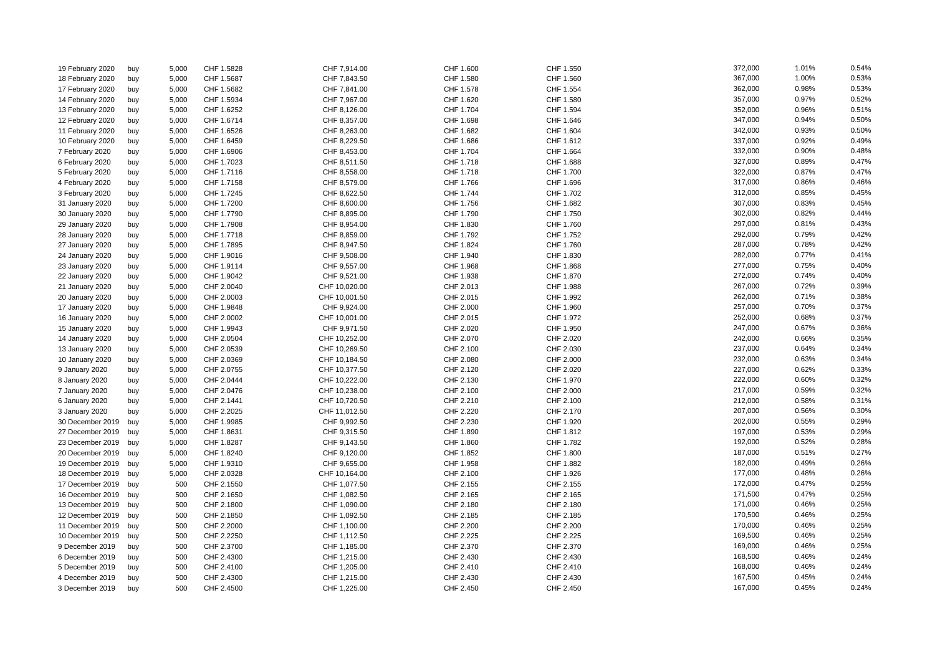| 19 February 2020     | buy | 5,000 | CHF 1.5828 | CHF 7,914.00  | CHF 1.600 | CHF 1.550 | 372,000 | 1.01% | 0.54% |
|----------------------|-----|-------|------------|---------------|-----------|-----------|---------|-------|-------|
| 18 February 2020     | buy | 5,000 | CHF 1.5687 | CHF 7,843.50  | CHF 1.580 | CHF 1.560 | 367,000 | 1.00% | 0.53% |
| 17 February 2020     | buy | 5,000 | CHF 1.5682 | CHF 7,841.00  | CHF 1.578 | CHF 1.554 | 362,000 | 0.98% | 0.53% |
| 14 February 2020     | buy | 5,000 | CHF 1.5934 | CHF 7,967.00  | CHF 1.620 | CHF 1.580 | 357,000 | 0.97% | 0.52% |
| 13 February 2020     | buy | 5,000 | CHF 1.6252 | CHF 8,126.00  | CHF 1.704 | CHF 1.594 | 352,000 | 0.96% | 0.51% |
| 12 February 2020     | buy | 5,000 | CHF 1.6714 | CHF 8,357.00  | CHF 1.698 | CHF 1.646 | 347,000 | 0.94% | 0.50% |
| 11 February 2020     | buy | 5,000 | CHF 1.6526 | CHF 8,263.00  | CHF 1.682 | CHF 1.604 | 342,000 | 0.93% | 0.50% |
| 10 February 2020     | buy | 5,000 | CHF 1.6459 | CHF 8,229.50  | CHF 1.686 | CHF 1.612 | 337,000 | 0.92% | 0.49% |
| 7 February 2020      | buy | 5,000 | CHF 1.6906 | CHF 8,453.00  | CHF 1.704 | CHF 1.664 | 332,000 | 0.90% | 0.48% |
| 6 February 2020      | buy | 5,000 | CHF 1.7023 | CHF 8,511.50  | CHF 1.718 | CHF 1.688 | 327,000 | 0.89% | 0.47% |
| 5 February 2020      | buy | 5,000 | CHF 1.7116 | CHF 8,558.00  | CHF 1.718 | CHF 1.700 | 322,000 | 0.87% | 0.47% |
| 4 February 2020      | buy | 5,000 | CHF 1.7158 | CHF 8,579.00  | CHF 1.766 | CHF 1.696 | 317,000 | 0.86% | 0.46% |
| 3 February 2020      | buy | 5,000 | CHF 1.7245 | CHF 8,622.50  | CHF 1.744 | CHF 1.702 | 312,000 | 0.85% | 0.45% |
| 31 January 2020      | buy | 5,000 | CHF 1.7200 | CHF 8,600.00  | CHF 1.756 | CHF 1.682 | 307,000 | 0.83% | 0.45% |
| 30 January 2020      | buy | 5,000 | CHF 1.7790 | CHF 8,895.00  | CHF 1.790 | CHF 1.750 | 302,000 | 0.82% | 0.44% |
| 29 January 2020      | buy | 5,000 | CHF 1.7908 | CHF 8,954.00  | CHF 1.830 | CHF 1.760 | 297,000 | 0.81% | 0.43% |
| 28 January 2020      | buy | 5,000 | CHF 1.7718 | CHF 8,859.00  | CHF 1.792 | CHF 1.752 | 292,000 | 0.79% | 0.42% |
| 27 January 2020      | buy | 5,000 | CHF 1.7895 | CHF 8,947.50  | CHF 1.824 | CHF 1.760 | 287,000 | 0.78% | 0.42% |
| 24 January 2020      | buy | 5,000 | CHF 1.9016 | CHF 9,508.00  | CHF 1.940 | CHF 1.830 | 282,000 | 0.77% | 0.41% |
| 23 January 2020      | buy | 5,000 | CHF 1.9114 | CHF 9,557.00  | CHF 1.968 | CHF 1.868 | 277,000 | 0.75% | 0.40% |
| 22 January 2020      | buy | 5,000 | CHF 1.9042 | CHF 9,521.00  | CHF 1.938 | CHF 1.870 | 272,000 | 0.74% | 0.40% |
| 21 January 2020      | buy | 5,000 | CHF 2.0040 | CHF 10,020.00 | CHF 2.013 | CHF 1.988 | 267,000 | 0.72% | 0.39% |
| 20 January 2020      | buy | 5,000 | CHF 2.0003 | CHF 10,001.50 | CHF 2.015 | CHF 1.992 | 262,000 | 0.71% | 0.38% |
| 17 January 2020      | buy | 5,000 | CHF 1.9848 | CHF 9,924.00  | CHF 2.000 | CHF 1.960 | 257,000 | 0.70% | 0.37% |
| 16 January 2020      | buy | 5,000 | CHF 2.0002 | CHF 10,001.00 | CHF 2.015 | CHF 1.972 | 252,000 | 0.68% | 0.37% |
| 15 January 2020      | buy | 5,000 | CHF 1.9943 | CHF 9,971.50  | CHF 2.020 | CHF 1.950 | 247,000 | 0.67% | 0.36% |
| 14 January 2020      | buy | 5,000 | CHF 2.0504 | CHF 10,252.00 | CHF 2.070 | CHF 2.020 | 242,000 | 0.66% | 0.35% |
| 13 January 2020      | buy | 5,000 | CHF 2.0539 | CHF 10,269.50 | CHF 2.100 | CHF 2.030 | 237,000 | 0.64% | 0.34% |
| 10 January 2020      | buy | 5,000 | CHF 2.0369 | CHF 10,184.50 | CHF 2.080 | CHF 2.000 | 232,000 | 0.63% | 0.34% |
| 9 January 2020       | buy | 5,000 | CHF 2.0755 | CHF 10,377.50 | CHF 2.120 | CHF 2.020 | 227,000 | 0.62% | 0.33% |
| 8 January 2020       | buy | 5,000 | CHF 2.0444 | CHF 10,222.00 | CHF 2.130 | CHF 1.970 | 222,000 | 0.60% | 0.32% |
| 7 January 2020       | buy | 5,000 | CHF 2.0476 | CHF 10,238.00 | CHF 2.100 | CHF 2.000 | 217,000 | 0.59% | 0.32% |
| 6 January 2020       | buy | 5,000 | CHF 2.1441 | CHF 10,720.50 | CHF 2.210 | CHF 2.100 | 212,000 | 0.58% | 0.31% |
| 3 January 2020       | buy | 5,000 | CHF 2.2025 | CHF 11,012.50 | CHF 2.220 | CHF 2.170 | 207,000 | 0.56% | 0.30% |
| 30 December 2019     | buy | 5,000 | CHF 1.9985 | CHF 9,992.50  | CHF 2.230 | CHF 1.920 | 202,000 | 0.55% | 0.29% |
| 27 December 2019     | buy | 5,000 | CHF 1.8631 | CHF 9,315.50  | CHF 1.890 | CHF 1.812 | 197,000 | 0.53% | 0.29% |
| 23 December 2019     | buy | 5,000 | CHF 1.8287 | CHF 9,143.50  | CHF 1.860 | CHF 1.782 | 192,000 | 0.52% | 0.28% |
| 20 December 2019     | buy | 5,000 | CHF 1.8240 | CHF 9,120.00  | CHF 1.852 | CHF 1.800 | 187,000 | 0.51% | 0.27% |
| 19 December 2019     | buy | 5,000 | CHF 1.9310 | CHF 9,655.00  | CHF 1.958 | CHF 1.882 | 182,000 | 0.49% | 0.26% |
| 18 December 2019     | buy | 5,000 | CHF 2.0328 | CHF 10,164.00 | CHF 2.100 | CHF 1.926 | 177,000 | 0.48% | 0.26% |
| 17 December 2019 buy |     | 500   | CHF 2.1550 | CHF 1,077.50  | CHF 2.155 | CHF 2.155 | 172,000 | 0.47% | 0.25% |
| 16 December 2019     | buy | 500   | CHF 2.1650 | CHF 1,082.50  | CHF 2.165 | CHF 2.165 | 171,500 | 0.47% | 0.25% |
| 13 December 2019 buy |     | 500   | CHF 2.1800 | CHF 1,090.00  | CHF 2.180 | CHF 2.180 | 171,000 | 0.46% | 0.25% |
| 12 December 2019     | buy | 500   | CHF 2.1850 | CHF 1,092.50  | CHF 2.185 | CHF 2.185 | 170,500 | 0.46% | 0.25% |
| 11 December 2019     | buy | 500   | CHF 2.2000 | CHF 1,100.00  | CHF 2.200 | CHF 2.200 | 170,000 | 0.46% | 0.25% |
| 10 December 2019     | buy | 500   | CHF 2.2250 | CHF 1,112.50  | CHF 2.225 | CHF 2.225 | 169,500 | 0.46% | 0.25% |
| 9 December 2019      | buy | 500   | CHF 2.3700 | CHF 1,185.00  | CHF 2.370 | CHF 2.370 | 169,000 | 0.46% | 0.25% |
| 6 December 2019      | buy | 500   | CHF 2.4300 | CHF 1,215.00  | CHF 2.430 | CHF 2.430 | 168,500 | 0.46% | 0.24% |
| 5 December 2019      | buy | 500   | CHF 2.4100 | CHF 1,205.00  | CHF 2.410 | CHF 2.410 | 168,000 | 0.46% | 0.24% |
| 4 December 2019      | buy | 500   | CHF 2.4300 | CHF 1,215.00  | CHF 2.430 | CHF 2.430 | 167,500 | 0.45% | 0.24% |
| 3 December 2019      | buy | 500   | CHF 2.4500 | CHF 1,225.00  | CHF 2.450 | CHF 2.450 | 167,000 | 0.45% | 0.24% |
|                      |     |       |            |               |           |           |         |       |       |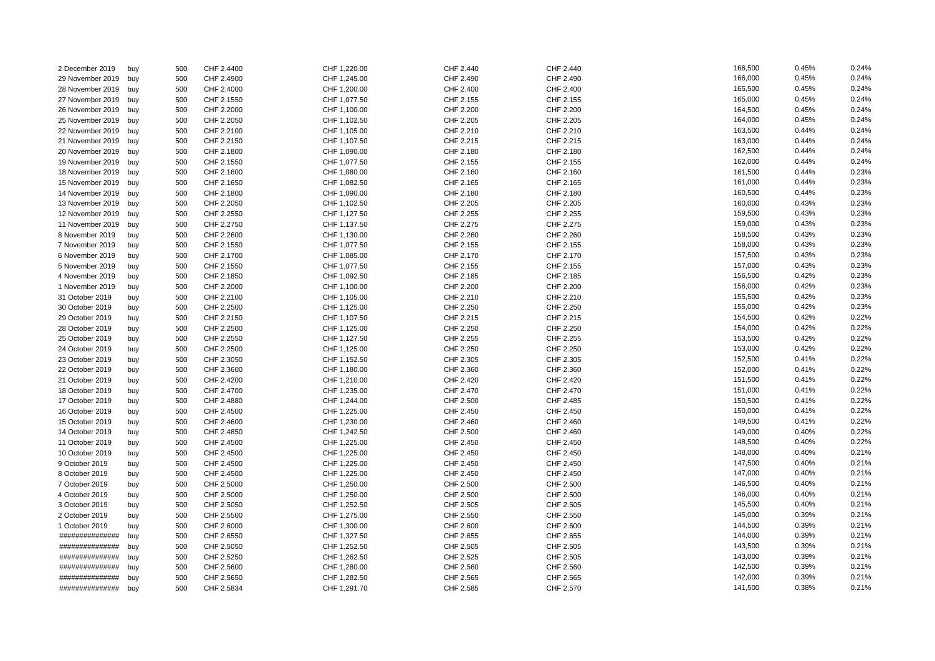| 2 December 2019      | buy        | 500 | CHF 2.4400 | CHF 1,220.00 | CHF 2.440 | CHF 2.440 | 166,500 | 0.45% | 0.24% |
|----------------------|------------|-----|------------|--------------|-----------|-----------|---------|-------|-------|
| 29 November 2019     | buy        | 500 | CHF 2.4900 | CHF 1,245.00 | CHF 2.490 | CHF 2.490 | 166,000 | 0.45% | 0.24% |
| 28 November 2019     | buy        | 500 | CHF 2.4000 | CHF 1,200.00 | CHF 2.400 | CHF 2.400 | 165,500 | 0.45% | 0.24% |
| 27 November 2019     | buy        | 500 | CHF 2.1550 | CHF 1,077.50 | CHF 2.155 | CHF 2.155 | 165,000 | 0.45% | 0.24% |
| 26 November 2019     | buy        | 500 | CHF 2.2000 | CHF 1,100.00 | CHF 2.200 | CHF 2.200 | 164,500 | 0.45% | 0.24% |
| 25 November 2019     | buy        | 500 | CHF 2.2050 | CHF 1,102.50 | CHF 2.205 | CHF 2.205 | 164,000 | 0.45% | 0.24% |
| 22 November 2019 buy |            | 500 | CHF 2.2100 | CHF 1,105.00 | CHF 2.210 | CHF 2.210 | 163,500 | 0.44% | 0.24% |
| 21 November 2019     | buy        | 500 | CHF 2.2150 | CHF 1,107.50 | CHF 2.215 | CHF 2.215 | 163,000 | 0.44% | 0.24% |
| 20 November 2019     | buy        | 500 | CHF 2.1800 | CHF 1,090.00 | CHF 2.180 | CHF 2.180 | 162,500 | 0.44% | 0.24% |
| 19 November 2019     | buy        | 500 | CHF 2.1550 | CHF 1,077.50 | CHF 2.155 | CHF 2.155 | 162,000 | 0.44% | 0.24% |
| 18 November 2019 buy |            | 500 | CHF 2.1600 | CHF 1,080.00 | CHF 2.160 | CHF 2.160 | 161,500 | 0.44% | 0.23% |
| 15 November 2019     | buy        | 500 | CHF 2.1650 | CHF 1,082.50 | CHF 2.165 | CHF 2.165 | 161,000 | 0.44% | 0.23% |
| 14 November 2019 buy |            | 500 | CHF 2.1800 | CHF 1,090.00 | CHF 2.180 | CHF 2.180 | 160,500 | 0.44% | 0.23% |
| 13 November 2019     | buy        | 500 | CHF 2.2050 | CHF 1,102.50 | CHF 2.205 | CHF 2.205 | 160,000 | 0.43% | 0.23% |
| 12 November 2019     | buy        | 500 | CHF 2.2550 | CHF 1,127.50 | CHF 2.255 | CHF 2.255 | 159,500 | 0.43% | 0.23% |
| 11 November 2019     | buy        | 500 | CHF 2.2750 | CHF 1,137.50 | CHF 2.275 | CHF 2.275 | 159,000 | 0.43% | 0.23% |
| 8 November 2019      | buy        | 500 | CHF 2.2600 | CHF 1,130.00 | CHF 2.260 | CHF 2.260 | 158,500 | 0.43% | 0.23% |
| 7 November 2019      | buy        | 500 | CHF 2.1550 | CHF 1,077.50 | CHF 2.155 | CHF 2.155 | 158,000 | 0.43% | 0.23% |
| 6 November 2019      | buy        | 500 | CHF 2.1700 | CHF 1,085.00 | CHF 2.170 | CHF 2.170 | 157,500 | 0.43% | 0.23% |
| 5 November 2019      | buy        | 500 | CHF 2.1550 | CHF 1,077.50 | CHF 2.155 | CHF 2.155 | 157,000 | 0.43% | 0.23% |
| 4 November 2019      | buy        | 500 | CHF 2.1850 | CHF 1,092.50 | CHF 2.185 | CHF 2.185 | 156,500 | 0.42% | 0.23% |
| 1 November 2019      | buy        | 500 | CHF 2.2000 | CHF 1,100.00 | CHF 2.200 | CHF 2.200 | 156,000 | 0.42% | 0.23% |
| 31 October 2019      | buy        | 500 | CHF 2.2100 | CHF 1,105.00 | CHF 2.210 | CHF 2.210 | 155,500 | 0.42% | 0.23% |
| 30 October 2019      | buy        | 500 | CHF 2.2500 | CHF 1,125.00 | CHF 2.250 | CHF 2.250 | 155,000 | 0.42% | 0.23% |
| 29 October 2019      | buy        | 500 | CHF 2.2150 | CHF 1,107.50 | CHF 2.215 | CHF 2.215 | 154,500 | 0.42% | 0.22% |
| 28 October 2019      | buy        | 500 | CHF 2.2500 | CHF 1,125.00 | CHF 2.250 | CHF 2.250 | 154,000 | 0.42% | 0.22% |
| 25 October 2019      | buy        | 500 | CHF 2.2550 | CHF 1,127.50 | CHF 2.255 | CHF 2.255 | 153,500 | 0.42% | 0.22% |
| 24 October 2019      | buy        | 500 | CHF 2.2500 | CHF 1,125.00 | CHF 2.250 | CHF 2.250 | 153,000 | 0.42% | 0.22% |
| 23 October 2019      | buy        | 500 | CHF 2.3050 | CHF 1,152.50 | CHF 2.305 | CHF 2.305 | 152,500 | 0.41% | 0.22% |
| 22 October 2019      | buy        | 500 | CHF 2.3600 | CHF 1,180.00 | CHF 2.360 | CHF 2.360 | 152,000 | 0.41% | 0.22% |
| 21 October 2019      | buy        | 500 | CHF 2.4200 | CHF 1,210.00 | CHF 2.420 | CHF 2.420 | 151,500 | 0.41% | 0.22% |
| 18 October 2019      | buy        | 500 | CHF 2.4700 | CHF 1,235.00 | CHF 2.470 | CHF 2.470 | 151,000 | 0.41% | 0.22% |
| 17 October 2019      | buy        | 500 | CHF 2.4880 | CHF 1,244.00 | CHF 2.500 | CHF 2.485 | 150,500 | 0.41% | 0.22% |
| 16 October 2019      | buy        | 500 | CHF 2.4500 | CHF 1,225.00 | CHF 2.450 | CHF 2.450 | 150,000 | 0.41% | 0.22% |
| 15 October 2019      | buy        | 500 | CHF 2.4600 | CHF 1,230.00 | CHF 2.460 | CHF 2.460 | 149,500 | 0.41% | 0.22% |
| 14 October 2019      | buy        | 500 | CHF 2.4850 | CHF 1,242.50 | CHF 2.500 | CHF 2.460 | 149,000 | 0.40% | 0.22% |
| 11 October 2019      | buy        | 500 | CHF 2.4500 | CHF 1,225.00 | CHF 2.450 | CHF 2.450 | 148,500 | 0.40% | 0.22% |
| 10 October 2019      | buy        | 500 | CHF 2.4500 | CHF 1,225.00 | CHF 2.450 | CHF 2.450 | 148,000 | 0.40% | 0.21% |
| 9 October 2019       | buy        | 500 | CHF 2.4500 | CHF 1,225.00 | CHF 2.450 | CHF 2.450 | 147,500 | 0.40% | 0.21% |
| 8 October 2019       | buy        | 500 | CHF 2.4500 | CHF 1,225.00 | CHF 2.450 | CHF 2.450 | 147,000 | 0.40% | 0.21% |
| 7 October 2019       | buy        | 500 | CHF 2.5000 | CHF 1,250.00 | CHF 2.500 | CHF 2.500 | 146,500 | 0.40% | 0.21% |
| 4 October 2019       | buy        | 500 | CHF 2.5000 | CHF 1,250.00 | CHF 2.500 | CHF 2.500 | 146,000 | 0.40% | 0.21% |
| 3 October 2019       |            | 500 | CHF 2.5050 | CHF 1,252.50 | CHF 2.505 | CHF 2.505 | 145,500 | 0.40% | 0.21% |
| 2 October 2019       | buy<br>buy | 500 | CHF 2.5500 | CHF 1,275.00 | CHF 2.550 | CHF 2.550 | 145,000 | 0.39% | 0.21% |
| 1 October 2019       | buy        | 500 | CHF 2.6000 | CHF 1,300.00 | CHF 2.600 | CHF 2.600 | 144,500 | 0.39% | 0.21% |
| ##############       | buy        | 500 | CHF 2.6550 | CHF 1,327.50 | CHF 2.655 | CHF 2.655 | 144,000 | 0.39% | 0.21% |
| ##############       |            | 500 | CHF 2.5050 | CHF 1,252.50 | CHF 2.505 | CHF 2.505 | 143,500 | 0.39% | 0.21% |
| ###############      | buy        | 500 | CHF 2.5250 | CHF 1,262.50 | CHF 2.525 | CHF 2.505 | 143,000 | 0.39% | 0.21% |
| ##############       | buy        | 500 | CHF 2.5600 | CHF 1,280.00 | CHF 2.560 | CHF 2.560 | 142,500 | 0.39% | 0.21% |
|                      | buy        |     |            |              |           |           | 142,000 | 0.39% | 0.21% |
| ###############      | buy        | 500 | CHF 2.5650 | CHF 1,282.50 | CHF 2.565 | CHF 2.565 | 141,500 | 0.38% | 0.21% |
| ##############       | buy        | 500 | CHF 2.5834 | CHF 1,291.70 | CHF 2.585 | CHF 2.570 |         |       |       |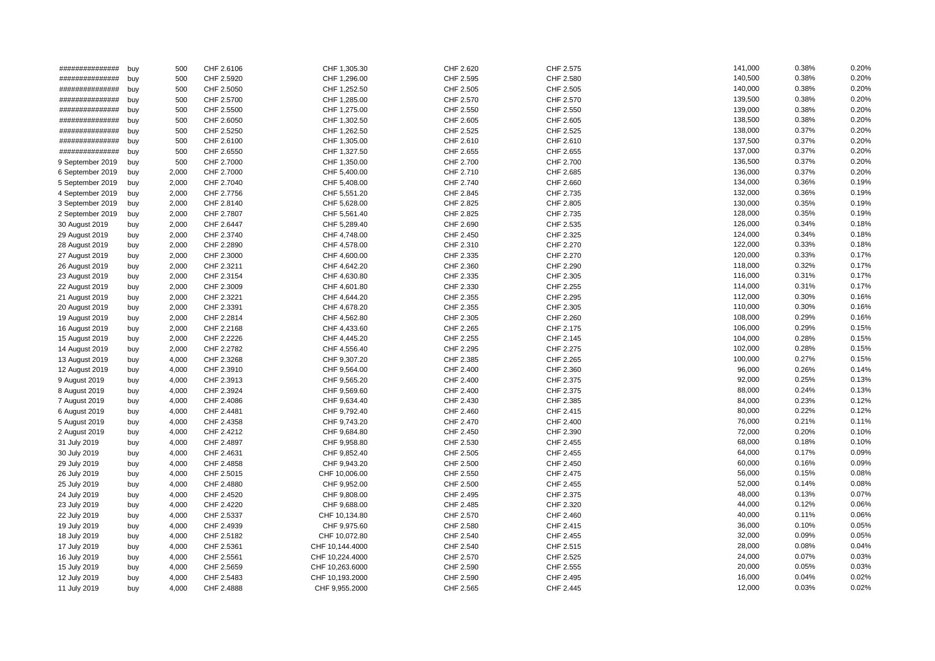| ##############   | buy | 500   | CHF 2.6106 | CHF 1,305.30    | CHF 2.620 | CHF 2.575 | 141,000 | 0.38% | 0.20% |
|------------------|-----|-------|------------|-----------------|-----------|-----------|---------|-------|-------|
| ###############  | buy | 500   | CHF 2.5920 | CHF 1,296.00    | CHF 2.595 | CHF 2.580 | 140,500 | 0.38% | 0.20% |
| ###############  | buy | 500   | CHF 2.5050 | CHF 1,252.50    | CHF 2.505 | CHF 2.505 | 140,000 | 0.38% | 0.20% |
| ###############  | buy | 500   | CHF 2.5700 | CHF 1,285.00    | CHF 2.570 | CHF 2.570 | 139,500 | 0.38% | 0.20% |
| ##############   | buy | 500   | CHF 2.5500 | CHF 1,275.00    | CHF 2.550 | CHF 2.550 | 139,000 | 0.38% | 0.20% |
| ##############   | buy | 500   | CHF 2.6050 | CHF 1,302.50    | CHF 2.605 | CHF 2.605 | 138,500 | 0.38% | 0.20% |
| ##############   | buy | 500   | CHF 2.5250 | CHF 1,262.50    | CHF 2.525 | CHF 2.525 | 138,000 | 0.37% | 0.20% |
| ##############   | buy | 500   | CHF 2.6100 | CHF 1,305.00    | CHF 2.610 | CHF 2.610 | 137,500 | 0.37% | 0.20% |
| ###############  | buy | 500   | CHF 2.6550 | CHF 1,327.50    | CHF 2.655 | CHF 2.655 | 137,000 | 0.37% | 0.20% |
| 9 September 2019 | buy | 500   | CHF 2.7000 | CHF 1,350.00    | CHF 2.700 | CHF 2.700 | 136,500 | 0.37% | 0.20% |
| 6 September 2019 | buy | 2,000 | CHF 2.7000 | CHF 5,400.00    | CHF 2.710 | CHF 2.685 | 136,000 | 0.37% | 0.20% |
| 5 September 2019 | buy | 2,000 | CHF 2.7040 | CHF 5,408.00    | CHF 2.740 | CHF 2.660 | 134,000 | 0.36% | 0.19% |
| 4 September 2019 | buy | 2,000 | CHF 2.7756 | CHF 5,551.20    | CHF 2.845 | CHF 2.735 | 132,000 | 0.36% | 0.19% |
| 3 September 2019 | buy | 2,000 | CHF 2.8140 | CHF 5,628.00    | CHF 2.825 | CHF 2.805 | 130,000 | 0.35% | 0.19% |
| 2 September 2019 | buy | 2,000 | CHF 2.7807 | CHF 5,561.40    | CHF 2.825 | CHF 2.735 | 128,000 | 0.35% | 0.19% |
| 30 August 2019   | buy | 2,000 | CHF 2.6447 | CHF 5,289.40    | CHF 2.690 | CHF 2.535 | 126,000 | 0.34% | 0.18% |
| 29 August 2019   | buy | 2,000 | CHF 2.3740 | CHF 4,748.00    | CHF 2.450 | CHF 2.325 | 124,000 | 0.34% | 0.18% |
| 28 August 2019   | buy | 2,000 | CHF 2.2890 | CHF 4,578.00    | CHF 2.310 | CHF 2.270 | 122,000 | 0.33% | 0.18% |
| 27 August 2019   | buy | 2,000 | CHF 2.3000 | CHF 4,600.00    | CHF 2.335 | CHF 2.270 | 120,000 | 0.33% | 0.17% |
| 26 August 2019   | buy | 2,000 | CHF 2.3211 | CHF 4,642.20    | CHF 2.360 | CHF 2.290 | 118,000 | 0.32% | 0.17% |
| 23 August 2019   | buy | 2,000 | CHF 2.3154 | CHF 4,630.80    | CHF 2.335 | CHF 2.305 | 116,000 | 0.31% | 0.17% |
| 22 August 2019   | buy | 2,000 | CHF 2.3009 | CHF 4,601.80    | CHF 2.330 | CHF 2.255 | 114,000 | 0.31% | 0.17% |
| 21 August 2019   | buy | 2,000 | CHF 2.3221 | CHF 4,644.20    | CHF 2.355 | CHF 2.295 | 112,000 | 0.30% | 0.16% |
| 20 August 2019   | buy | 2,000 | CHF 2.3391 | CHF 4,678.20    | CHF 2.355 | CHF 2.305 | 110,000 | 0.30% | 0.16% |
| 19 August 2019   | buy | 2,000 | CHF 2.2814 | CHF 4,562.80    | CHF 2.305 | CHF 2.260 | 108,000 | 0.29% | 0.16% |
| 16 August 2019   | buy | 2,000 | CHF 2.2168 | CHF 4,433.60    | CHF 2.265 | CHF 2.175 | 106,000 | 0.29% | 0.15% |
| 15 August 2019   | buy | 2,000 | CHF 2.2226 | CHF 4,445.20    | CHF 2.255 | CHF 2.145 | 104,000 | 0.28% | 0.15% |
| 14 August 2019   | buy | 2,000 | CHF 2.2782 | CHF 4,556.40    | CHF 2.295 | CHF 2.275 | 102,000 | 0.28% | 0.15% |
| 13 August 2019   | buy | 4,000 | CHF 2.3268 | CHF 9,307.20    | CHF 2.385 | CHF 2.265 | 100,000 | 0.27% | 0.15% |
| 12 August 2019   | buy | 4,000 | CHF 2.3910 | CHF 9,564.00    | CHF 2.400 | CHF 2.360 | 96,000  | 0.26% | 0.14% |
| 9 August 2019    | buy | 4,000 | CHF 2.3913 | CHF 9,565.20    | CHF 2.400 | CHF 2.375 | 92,000  | 0.25% | 0.13% |
| 8 August 2019    | buy | 4,000 | CHF 2.3924 | CHF 9,569.60    | CHF 2.400 | CHF 2.375 | 88,000  | 0.24% | 0.13% |
| 7 August 2019    | buy | 4,000 | CHF 2.4086 | CHF 9,634.40    | CHF 2.430 | CHF 2.385 | 84,000  | 0.23% | 0.12% |
| 6 August 2019    | buy | 4,000 | CHF 2.4481 | CHF 9,792.40    | CHF 2.460 | CHF 2.415 | 80,000  | 0.22% | 0.12% |
| 5 August 2019    | buy | 4,000 | CHF 2.4358 | CHF 9,743.20    | CHF 2.470 | CHF 2.400 | 76,000  | 0.21% | 0.11% |
| 2 August 2019    | buy | 4,000 | CHF 2.4212 | CHF 9,684.80    | CHF 2.450 | CHF 2.390 | 72,000  | 0.20% | 0.10% |
| 31 July 2019     | buy | 4,000 | CHF 2.4897 | CHF 9,958.80    | CHF 2.530 | CHF 2.455 | 68,000  | 0.18% | 0.10% |
| 30 July 2019     | buy | 4,000 | CHF 2.4631 | CHF 9,852.40    | CHF 2.505 | CHF 2.455 | 64,000  | 0.17% | 0.09% |
| 29 July 2019     | buy | 4,000 | CHF 2.4858 | CHF 9,943.20    | CHF 2.500 | CHF 2.450 | 60,000  | 0.16% | 0.09% |
| 26 July 2019     | buy | 4,000 | CHF 2.5015 | CHF 10,006.00   | CHF 2.550 | CHF 2.475 | 56,000  | 0.15% | 0.08% |
| 25 July 2019     | buy | 4,000 | CHF 2.4880 | CHF 9,952.00    | CHF 2.500 | CHF 2.455 | 52,000  | 0.14% | 0.08% |
| 24 July 2019     | buy | 4,000 | CHF 2.4520 | CHF 9,808.00    | CHF 2.495 | CHF 2.375 | 48,000  | 0.13% | 0.07% |
| 23 July 2019     | buy | 4,000 | CHF 2.4220 | CHF 9,688.00    | CHF 2.485 | CHF 2.320 | 44,000  | 0.12% | 0.06% |
| 22 July 2019     | buy | 4,000 | CHF 2.5337 | CHF 10,134.80   | CHF 2.570 | CHF 2.460 | 40,000  | 0.11% | 0.06% |
| 19 July 2019     | buy | 4,000 | CHF 2.4939 | CHF 9,975.60    | CHF 2.580 | CHF 2.415 | 36,000  | 0.10% | 0.05% |
| 18 July 2019     | buy | 4,000 | CHF 2.5182 | CHF 10,072.80   | CHF 2.540 | CHF 2.455 | 32,000  | 0.09% | 0.05% |
| 17 July 2019     | buy | 4,000 | CHF 2.5361 | CHF 10,144.4000 | CHF 2.540 | CHF 2.515 | 28,000  | 0.08% | 0.04% |
| 16 July 2019     | buy | 4,000 | CHF 2.5561 | CHF 10,224.4000 | CHF 2.570 | CHF 2.525 | 24,000  | 0.07% | 0.03% |
| 15 July 2019     | buy | 4,000 | CHF 2.5659 | CHF 10,263.6000 | CHF 2.590 | CHF 2.555 | 20,000  | 0.05% | 0.03% |
| 12 July 2019     | buy | 4,000 | CHF 2.5483 | CHF 10,193.2000 | CHF 2.590 | CHF 2.495 | 16,000  | 0.04% | 0.02% |
| 11 July 2019     | buy | 4,000 | CHF 2.4888 | CHF 9,955.2000  | CHF 2.565 | CHF 2.445 | 12,000  | 0.03% | 0.02% |
|                  |     |       |            |                 |           |           |         |       |       |